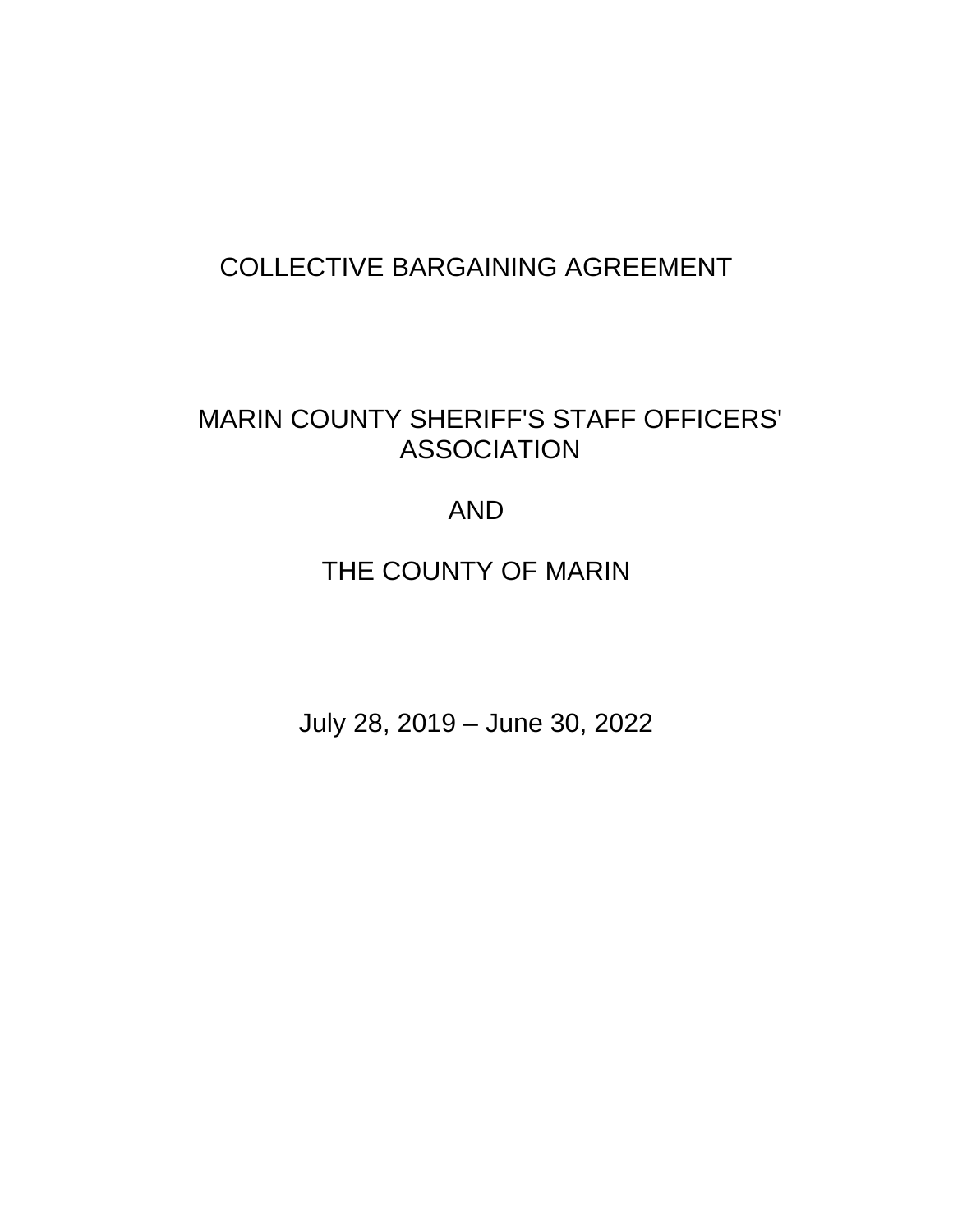# COLLECTIVE BARGAINING AGREEMENT

# MARIN COUNTY SHERIFF'S STAFF OFFICERS' ASSOCIATION

# AND

# THE COUNTY OF MARIN

July 28, 2019 – June 30, 2022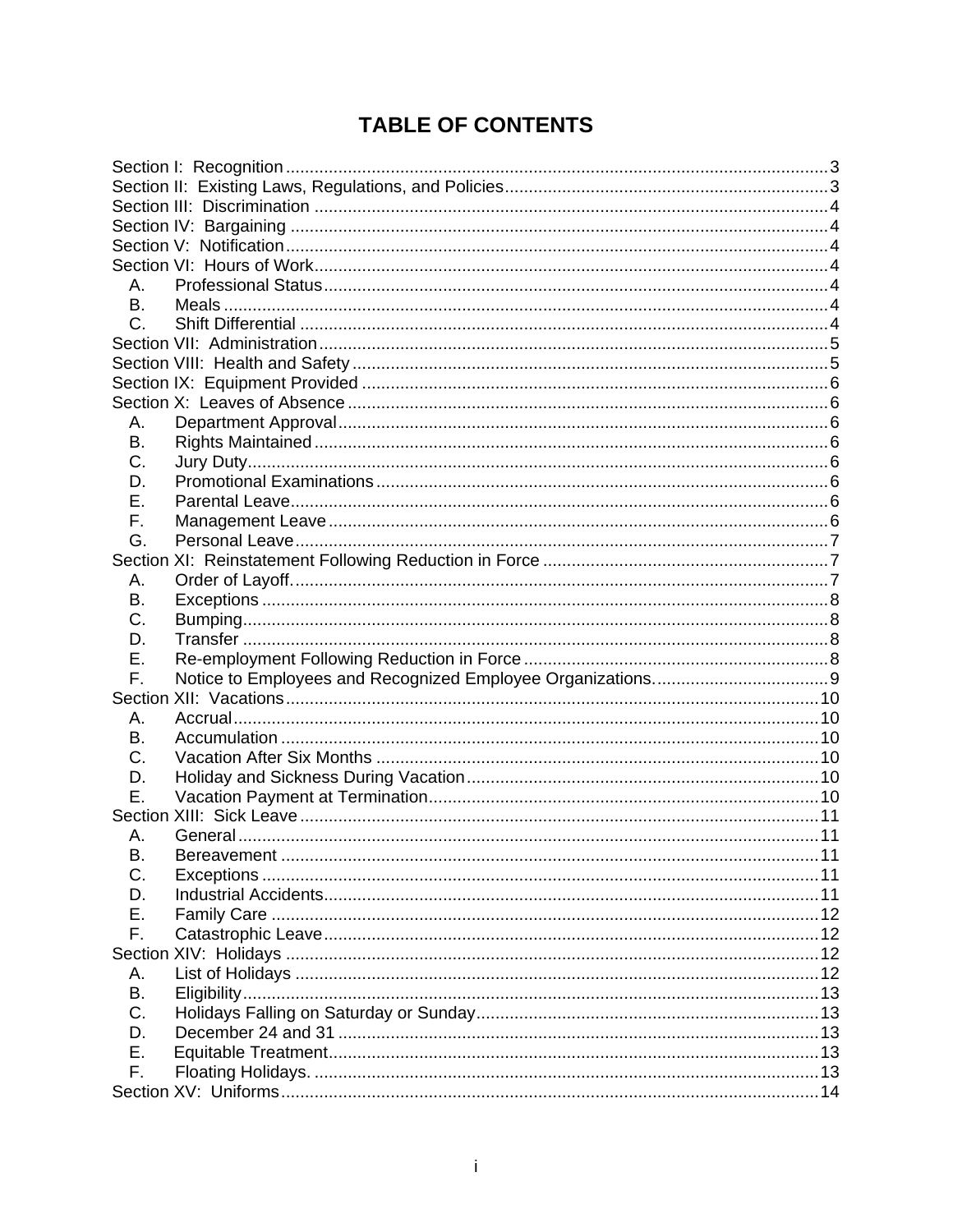# **TABLE OF CONTENTS**

| Α.        |    |
|-----------|----|
| <b>B.</b> |    |
| C.        |    |
|           |    |
|           |    |
|           |    |
|           |    |
| А.        |    |
| Β.        |    |
| C.        |    |
| D.        |    |
| Е.        |    |
| F.        |    |
| G.        |    |
|           |    |
| А.        |    |
| В.        |    |
| C.        |    |
| D.        |    |
| Ε.        |    |
| F.        |    |
|           |    |
| А.        |    |
| В.        |    |
| C.        |    |
| D.        |    |
| Е.        |    |
|           |    |
| А.        |    |
| Β.        | 11 |
| C.        |    |
| D.        |    |
| Ε.        |    |
| F.        |    |
|           |    |
| А.        |    |
| В.        |    |
| C.        |    |
| D.        |    |
| Ε.        |    |
| F.        |    |
|           |    |
|           |    |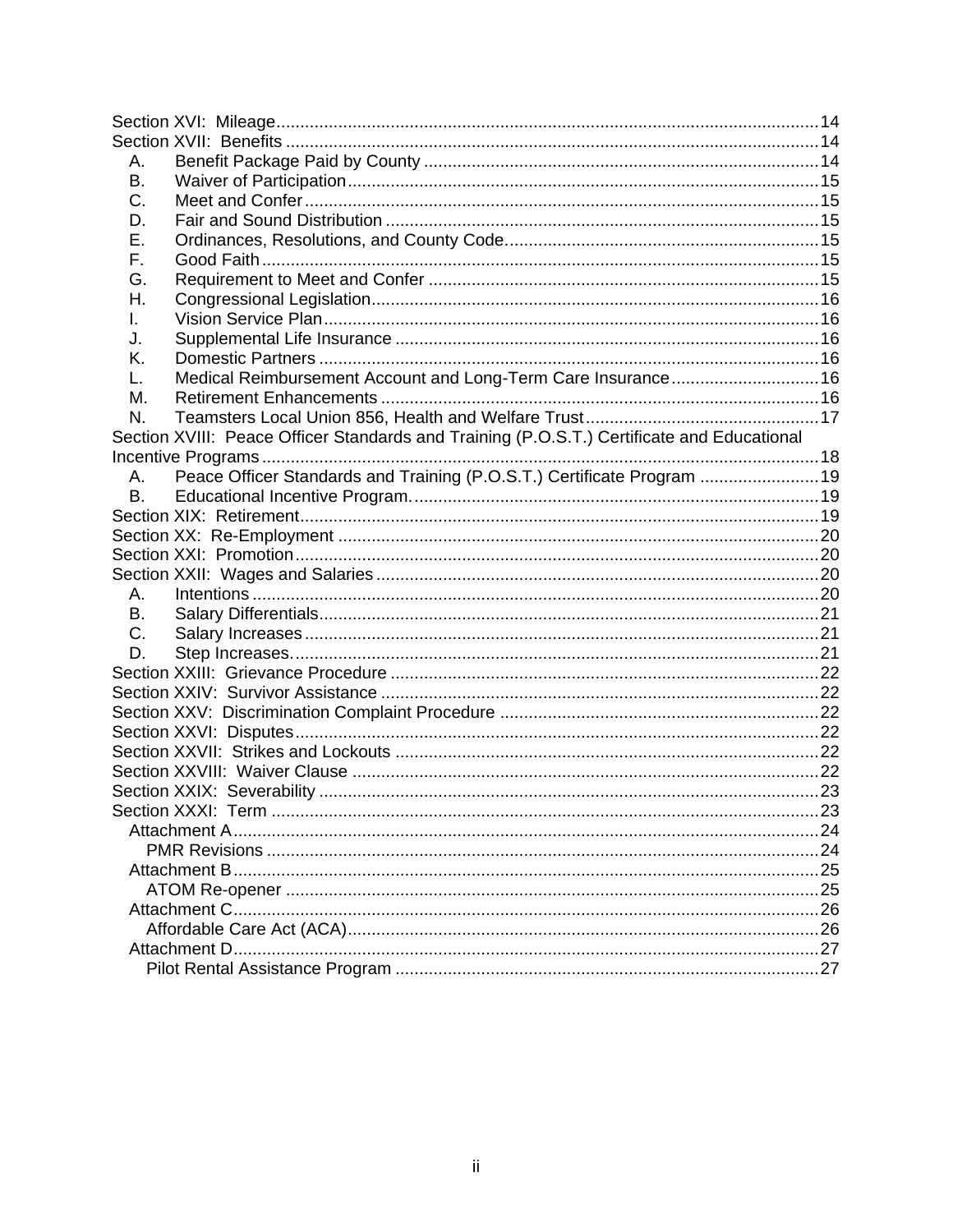| Α.                                                                                         |     |
|--------------------------------------------------------------------------------------------|-----|
| В.                                                                                         |     |
| C.                                                                                         |     |
| D.                                                                                         |     |
| Е.                                                                                         |     |
| F.                                                                                         |     |
| G.                                                                                         |     |
| Н.                                                                                         |     |
| I.                                                                                         |     |
| J.                                                                                         |     |
| Κ.                                                                                         |     |
| Medical Reimbursement Account and Long-Term Care Insurance 16<br>L.                        |     |
| М.                                                                                         |     |
| N.                                                                                         |     |
| Section XVIII: Peace Officer Standards and Training (P.O.S.T.) Certificate and Educational |     |
|                                                                                            |     |
| Peace Officer Standards and Training (P.O.S.T.) Certificate Program  19<br>А.              |     |
| <b>B.</b>                                                                                  |     |
|                                                                                            |     |
|                                                                                            |     |
|                                                                                            |     |
|                                                                                            |     |
| Α.                                                                                         |     |
| В.                                                                                         |     |
| C.                                                                                         |     |
| D.                                                                                         |     |
|                                                                                            |     |
|                                                                                            |     |
|                                                                                            |     |
|                                                                                            |     |
|                                                                                            |     |
|                                                                                            |     |
|                                                                                            |     |
| Section XXXI <sup>.</sup> Term                                                             | -23 |
|                                                                                            |     |
|                                                                                            |     |
|                                                                                            |     |
|                                                                                            |     |
|                                                                                            |     |
|                                                                                            |     |
|                                                                                            |     |
|                                                                                            |     |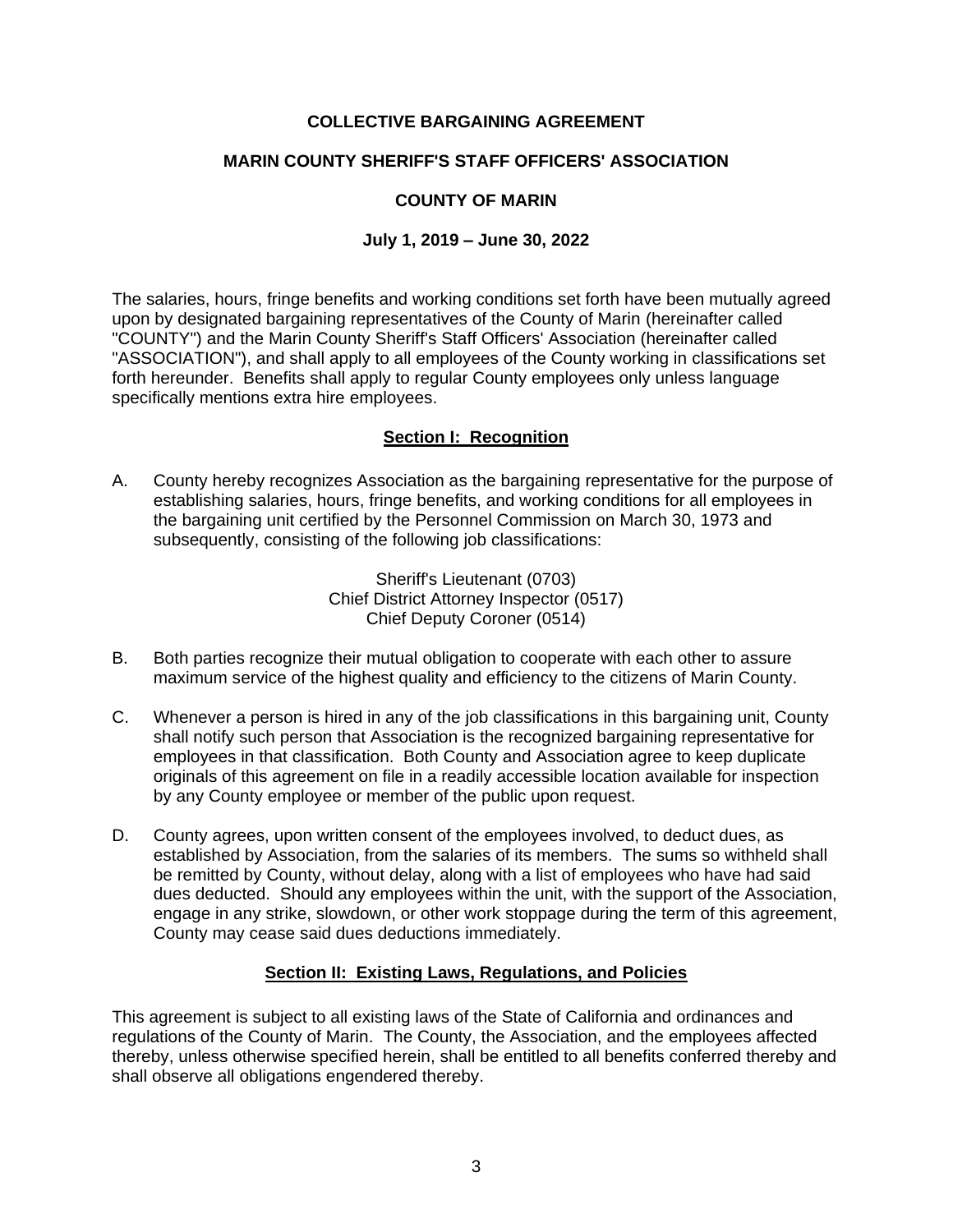# **COLLECTIVE BARGAINING AGREEMENT**

## **MARIN COUNTY SHERIFF'S STAFF OFFICERS' ASSOCIATION**

## **COUNTY OF MARIN**

## **July 1, 2019 – June 30, 2022**

The salaries, hours, fringe benefits and working conditions set forth have been mutually agreed upon by designated bargaining representatives of the County of Marin (hereinafter called "COUNTY") and the Marin County Sheriff's Staff Officers' Association (hereinafter called "ASSOCIATION"), and shall apply to all employees of the County working in classifications set forth hereunder. Benefits shall apply to regular County employees only unless language specifically mentions extra hire employees.

## **Section I: Recognition**

<span id="page-3-0"></span>A. County hereby recognizes Association as the bargaining representative for the purpose of establishing salaries, hours, fringe benefits, and working conditions for all employees in the bargaining unit certified by the Personnel Commission on March 30, 1973 and subsequently, consisting of the following job classifications:

> Sheriff's Lieutenant (0703) Chief District Attorney Inspector (0517) Chief Deputy Coroner (0514)

- B. Both parties recognize their mutual obligation to cooperate with each other to assure maximum service of the highest quality and efficiency to the citizens of Marin County.
- C. Whenever a person is hired in any of the job classifications in this bargaining unit, County shall notify such person that Association is the recognized bargaining representative for employees in that classification. Both County and Association agree to keep duplicate originals of this agreement on file in a readily accessible location available for inspection by any County employee or member of the public upon request.
- D. County agrees, upon written consent of the employees involved, to deduct dues, as established by Association, from the salaries of its members. The sums so withheld shall be remitted by County, without delay, along with a list of employees who have had said dues deducted. Should any employees within the unit, with the support of the Association, engage in any strike, slowdown, or other work stoppage during the term of this agreement, County may cease said dues deductions immediately.

## **Section II: Existing Laws, Regulations, and Policies**

<span id="page-3-1"></span>This agreement is subject to all existing laws of the State of California and ordinances and regulations of the County of Marin. The County, the Association, and the employees affected thereby, unless otherwise specified herein, shall be entitled to all benefits conferred thereby and shall observe all obligations engendered thereby.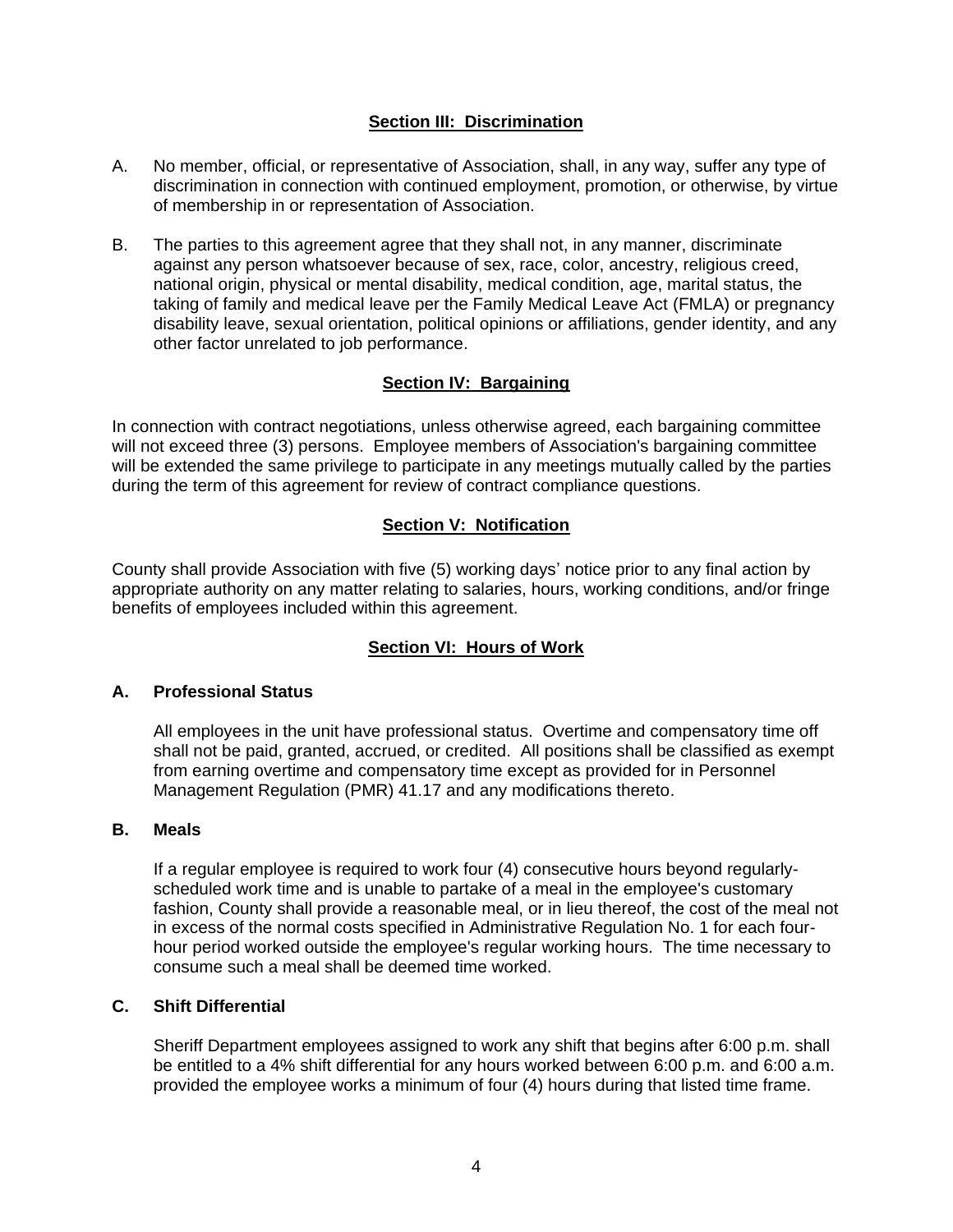## **Section III: Discrimination**

- <span id="page-4-0"></span>A. No member, official, or representative of Association, shall, in any way, suffer any type of discrimination in connection with continued employment, promotion, or otherwise, by virtue of membership in or representation of Association.
- B. The parties to this agreement agree that they shall not, in any manner, discriminate against any person whatsoever because of sex, race, color, ancestry, religious creed, national origin, physical or mental disability, medical condition, age, marital status, the taking of family and medical leave per the Family Medical Leave Act (FMLA) or pregnancy disability leave, sexual orientation, political opinions or affiliations, gender identity, and any other factor unrelated to job performance.

# **Section IV: Bargaining**

<span id="page-4-1"></span>In connection with contract negotiations, unless otherwise agreed, each bargaining committee will not exceed three (3) persons. Employee members of Association's bargaining committee will be extended the same privilege to participate in any meetings mutually called by the parties during the term of this agreement for review of contract compliance questions.

# **Section V: Notification**

<span id="page-4-2"></span>County shall provide Association with five (5) working days' notice prior to any final action by appropriate authority on any matter relating to salaries, hours, working conditions, and/or fringe benefits of employees included within this agreement.

# **Section VI: Hours of Work**

## <span id="page-4-4"></span><span id="page-4-3"></span>**A. Professional Status**

All employees in the unit have professional status. Overtime and compensatory time off shall not be paid, granted, accrued, or credited. All positions shall be classified as exempt from earning overtime and compensatory time except as provided for in Personnel Management Regulation (PMR) 41.17 and any modifications thereto.

#### <span id="page-4-5"></span>**B. Meals**

If a regular employee is required to work four (4) consecutive hours beyond regularlyscheduled work time and is unable to partake of a meal in the employee's customary fashion, County shall provide a reasonable meal, or in lieu thereof, the cost of the meal not in excess of the normal costs specified in Administrative Regulation No. 1 for each fourhour period worked outside the employee's regular working hours. The time necessary to consume such a meal shall be deemed time worked.

## <span id="page-4-6"></span>**C. Shift Differential**

Sheriff Department employees assigned to work any shift that begins after 6:00 p.m. shall be entitled to a 4% shift differential for any hours worked between 6:00 p.m. and 6:00 a.m. provided the employee works a minimum of four (4) hours during that listed time frame.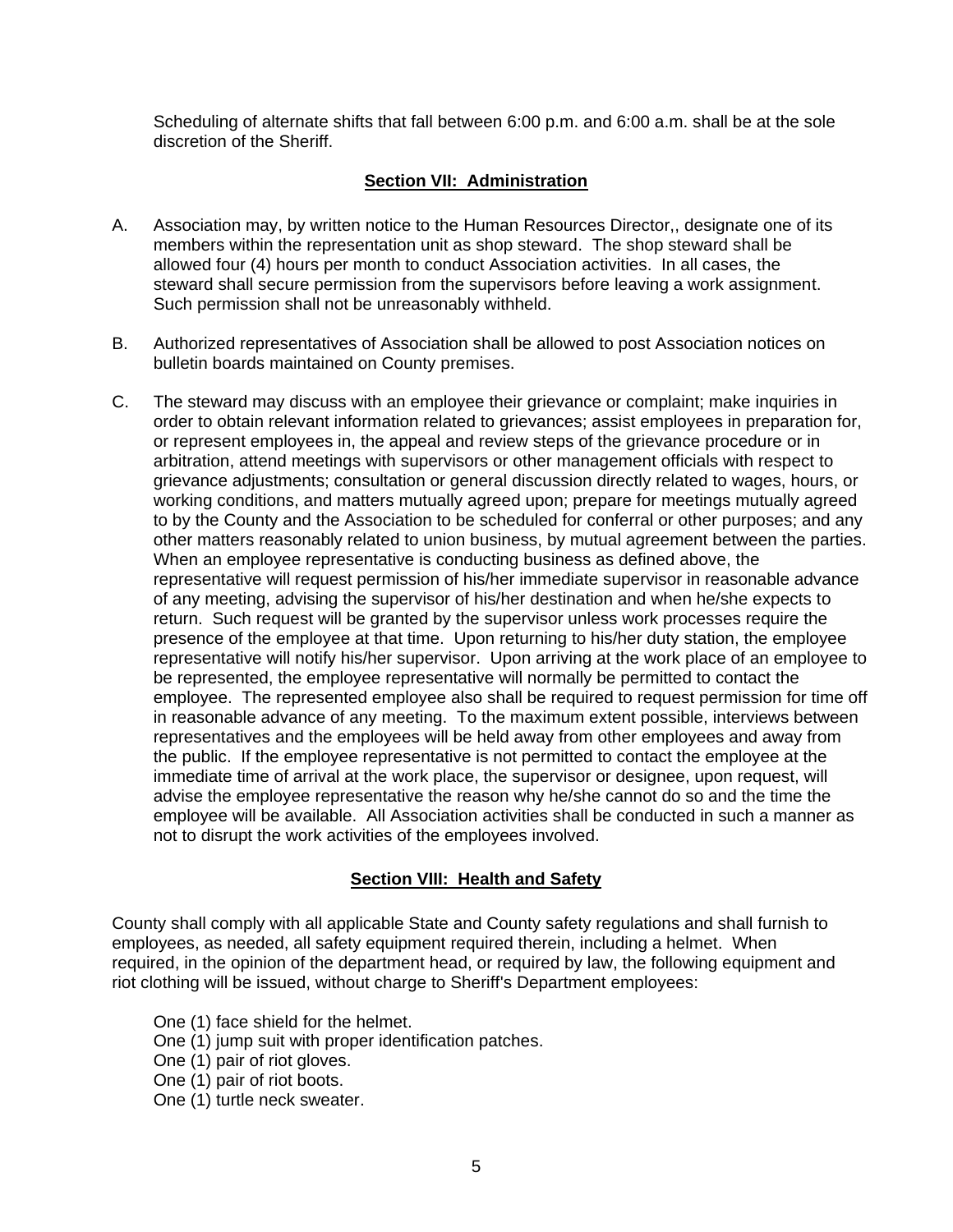Scheduling of alternate shifts that fall between 6:00 p.m. and 6:00 a.m. shall be at the sole discretion of the Sheriff.

## **Section VII: Administration**

- <span id="page-5-0"></span>A. Association may, by written notice to the Human Resources Director,, designate one of its members within the representation unit as shop steward. The shop steward shall be allowed four (4) hours per month to conduct Association activities. In all cases, the steward shall secure permission from the supervisors before leaving a work assignment. Such permission shall not be unreasonably withheld.
- B. Authorized representatives of Association shall be allowed to post Association notices on bulletin boards maintained on County premises.
- C. The steward may discuss with an employee their grievance or complaint; make inquiries in order to obtain relevant information related to grievances; assist employees in preparation for, or represent employees in, the appeal and review steps of the grievance procedure or in arbitration, attend meetings with supervisors or other management officials with respect to grievance adjustments; consultation or general discussion directly related to wages, hours, or working conditions, and matters mutually agreed upon; prepare for meetings mutually agreed to by the County and the Association to be scheduled for conferral or other purposes; and any other matters reasonably related to union business, by mutual agreement between the parties. When an employee representative is conducting business as defined above, the representative will request permission of his/her immediate supervisor in reasonable advance of any meeting, advising the supervisor of his/her destination and when he/she expects to return. Such request will be granted by the supervisor unless work processes require the presence of the employee at that time. Upon returning to his/her duty station, the employee representative will notify his/her supervisor. Upon arriving at the work place of an employee to be represented, the employee representative will normally be permitted to contact the employee. The represented employee also shall be required to request permission for time off in reasonable advance of any meeting. To the maximum extent possible, interviews between representatives and the employees will be held away from other employees and away from the public. If the employee representative is not permitted to contact the employee at the immediate time of arrival at the work place, the supervisor or designee, upon request, will advise the employee representative the reason why he/she cannot do so and the time the employee will be available. All Association activities shall be conducted in such a manner as not to disrupt the work activities of the employees involved.

## **Section VIII: Health and Safety**

<span id="page-5-1"></span>County shall comply with all applicable State and County safety regulations and shall furnish to employees, as needed, all safety equipment required therein, including a helmet. When required, in the opinion of the department head, or required by law, the following equipment and riot clothing will be issued, without charge to Sheriff's Department employees:

One (1) face shield for the helmet.

- One (1) jump suit with proper identification patches.
- One (1) pair of riot gloves.
- One (1) pair of riot boots.

One (1) turtle neck sweater.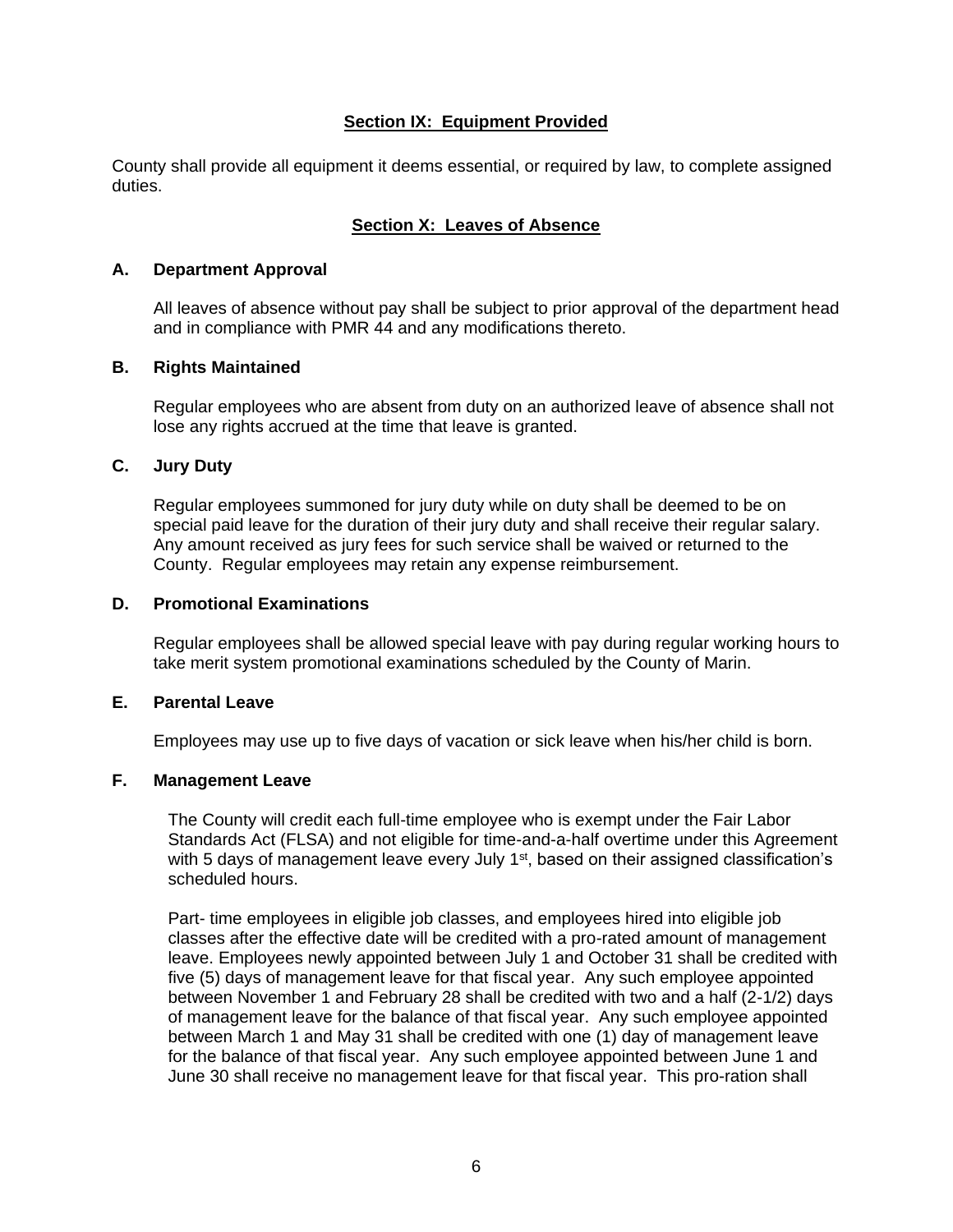## **Section IX: Equipment Provided**

<span id="page-6-0"></span>County shall provide all equipment it deems essential, or required by law, to complete assigned duties.

#### **Section X: Leaves of Absence**

#### <span id="page-6-2"></span><span id="page-6-1"></span>**A. Department Approval**

All leaves of absence without pay shall be subject to prior approval of the department head and in compliance with PMR 44 and any modifications thereto.

#### <span id="page-6-3"></span>**B. Rights Maintained**

Regular employees who are absent from duty on an authorized leave of absence shall not lose any rights accrued at the time that leave is granted.

#### <span id="page-6-4"></span>**C. Jury Duty**

Regular employees summoned for jury duty while on duty shall be deemed to be on special paid leave for the duration of their jury duty and shall receive their regular salary. Any amount received as jury fees for such service shall be waived or returned to the County. Regular employees may retain any expense reimbursement.

#### <span id="page-6-5"></span>**D. Promotional Examinations**

Regular employees shall be allowed special leave with pay during regular working hours to take merit system promotional examinations scheduled by the County of Marin.

#### <span id="page-6-6"></span>**E. Parental Leave**

Employees may use up to five days of vacation or sick leave when his/her child is born.

#### <span id="page-6-7"></span>**F. Management Leave**

The County will credit each full-time employee who is exempt under the Fair Labor Standards Act (FLSA) and not eligible for time-and-a-half overtime under this Agreement with 5 days of management leave every July  $1<sup>st</sup>$ , based on their assigned classification's scheduled hours.

Part- time employees in eligible job classes, and employees hired into eligible job classes after the effective date will be credited with a pro-rated amount of management leave. Employees newly appointed between July 1 and October 31 shall be credited with five (5) days of management leave for that fiscal year. Any such employee appointed between November 1 and February 28 shall be credited with two and a half (2-1/2) days of management leave for the balance of that fiscal year. Any such employee appointed between March 1 and May 31 shall be credited with one (1) day of management leave for the balance of that fiscal year. Any such employee appointed between June 1 and June 30 shall receive no management leave for that fiscal year. This pro-ration shall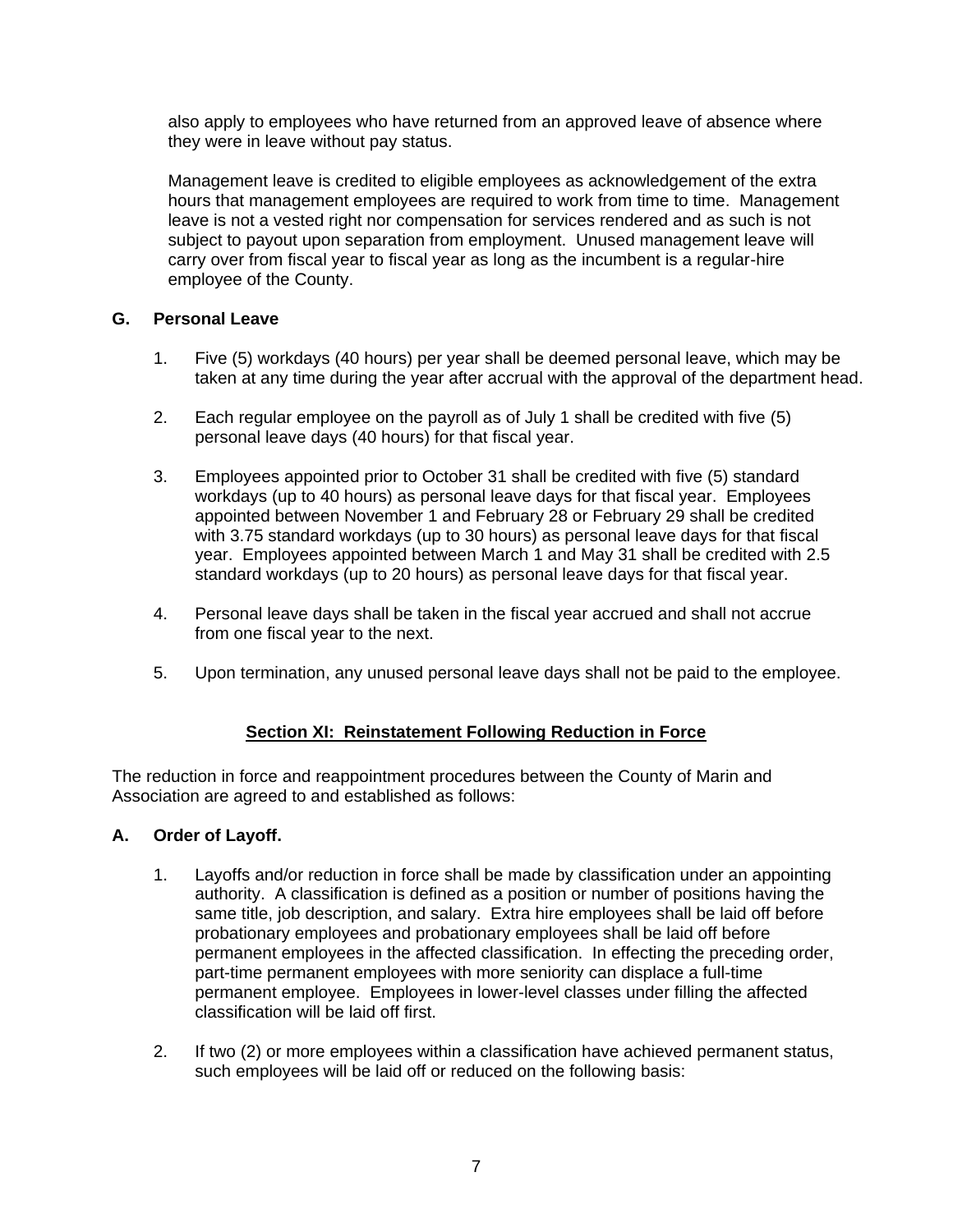also apply to employees who have returned from an approved leave of absence where they were in leave without pay status.

Management leave is credited to eligible employees as acknowledgement of the extra hours that management employees are required to work from time to time. Management leave is not a vested right nor compensation for services rendered and as such is not subject to payout upon separation from employment. Unused management leave will carry over from fiscal year to fiscal year as long as the incumbent is a regular-hire employee of the County.

# <span id="page-7-0"></span>**G. Personal Leave**

- 1. Five (5) workdays (40 hours) per year shall be deemed personal leave, which may be taken at any time during the year after accrual with the approval of the department head.
- 2. Each regular employee on the payroll as of July 1 shall be credited with five (5) personal leave days (40 hours) for that fiscal year.
- 3. Employees appointed prior to October 31 shall be credited with five (5) standard workdays (up to 40 hours) as personal leave days for that fiscal year. Employees appointed between November 1 and February 28 or February 29 shall be credited with 3.75 standard workdays (up to 30 hours) as personal leave days for that fiscal year. Employees appointed between March 1 and May 31 shall be credited with 2.5 standard workdays (up to 20 hours) as personal leave days for that fiscal year.
- 4. Personal leave days shall be taken in the fiscal year accrued and shall not accrue from one fiscal year to the next.
- 5. Upon termination, any unused personal leave days shall not be paid to the employee.

# **Section XI: Reinstatement Following Reduction in Force**

<span id="page-7-1"></span>The reduction in force and reappointment procedures between the County of Marin and Association are agreed to and established as follows:

## <span id="page-7-2"></span>**A. Order of Layoff.**

- 1. Layoffs and/or reduction in force shall be made by classification under an appointing authority. A classification is defined as a position or number of positions having the same title, job description, and salary. Extra hire employees shall be laid off before probationary employees and probationary employees shall be laid off before permanent employees in the affected classification. In effecting the preceding order, part-time permanent employees with more seniority can displace a full-time permanent employee. Employees in lower-level classes under filling the affected classification will be laid off first.
- 2. If two (2) or more employees within a classification have achieved permanent status, such employees will be laid off or reduced on the following basis: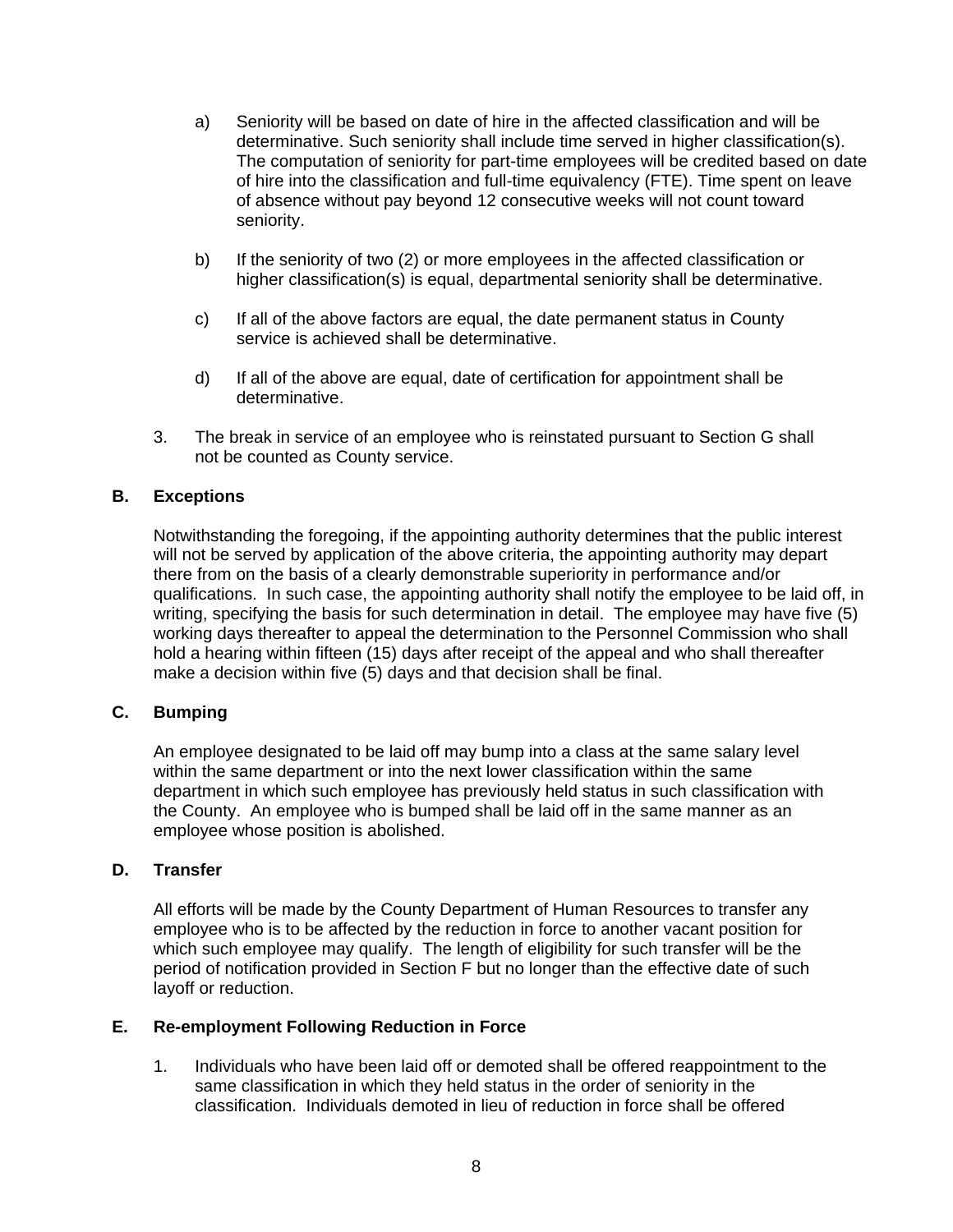- a) Seniority will be based on date of hire in the affected classification and will be determinative. Such seniority shall include time served in higher classification(s). The computation of seniority for part-time employees will be credited based on date of hire into the classification and full-time equivalency (FTE). Time spent on leave of absence without pay beyond 12 consecutive weeks will not count toward seniority.
- b) If the seniority of two (2) or more employees in the affected classification or higher classification(s) is equal, departmental seniority shall be determinative.
- c) If all of the above factors are equal, the date permanent status in County service is achieved shall be determinative.
- d) If all of the above are equal, date of certification for appointment shall be determinative.
- 3. The break in service of an employee who is reinstated pursuant to Section G shall not be counted as County service.

#### <span id="page-8-0"></span>**B. Exceptions**

Notwithstanding the foregoing, if the appointing authority determines that the public interest will not be served by application of the above criteria, the appointing authority may depart there from on the basis of a clearly demonstrable superiority in performance and/or qualifications. In such case, the appointing authority shall notify the employee to be laid off, in writing, specifying the basis for such determination in detail. The employee may have five (5) working days thereafter to appeal the determination to the Personnel Commission who shall hold a hearing within fifteen (15) days after receipt of the appeal and who shall thereafter make a decision within five (5) days and that decision shall be final.

## <span id="page-8-1"></span>**C. Bumping**

An employee designated to be laid off may bump into a class at the same salary level within the same department or into the next lower classification within the same department in which such employee has previously held status in such classification with the County. An employee who is bumped shall be laid off in the same manner as an employee whose position is abolished.

#### <span id="page-8-2"></span>**D. Transfer**

All efforts will be made by the County Department of Human Resources to transfer any employee who is to be affected by the reduction in force to another vacant position for which such employee may qualify. The length of eligibility for such transfer will be the period of notification provided in Section F but no longer than the effective date of such layoff or reduction.

#### <span id="page-8-3"></span>**E. Re-employment Following Reduction in Force**

1. Individuals who have been laid off or demoted shall be offered reappointment to the same classification in which they held status in the order of seniority in the classification. Individuals demoted in lieu of reduction in force shall be offered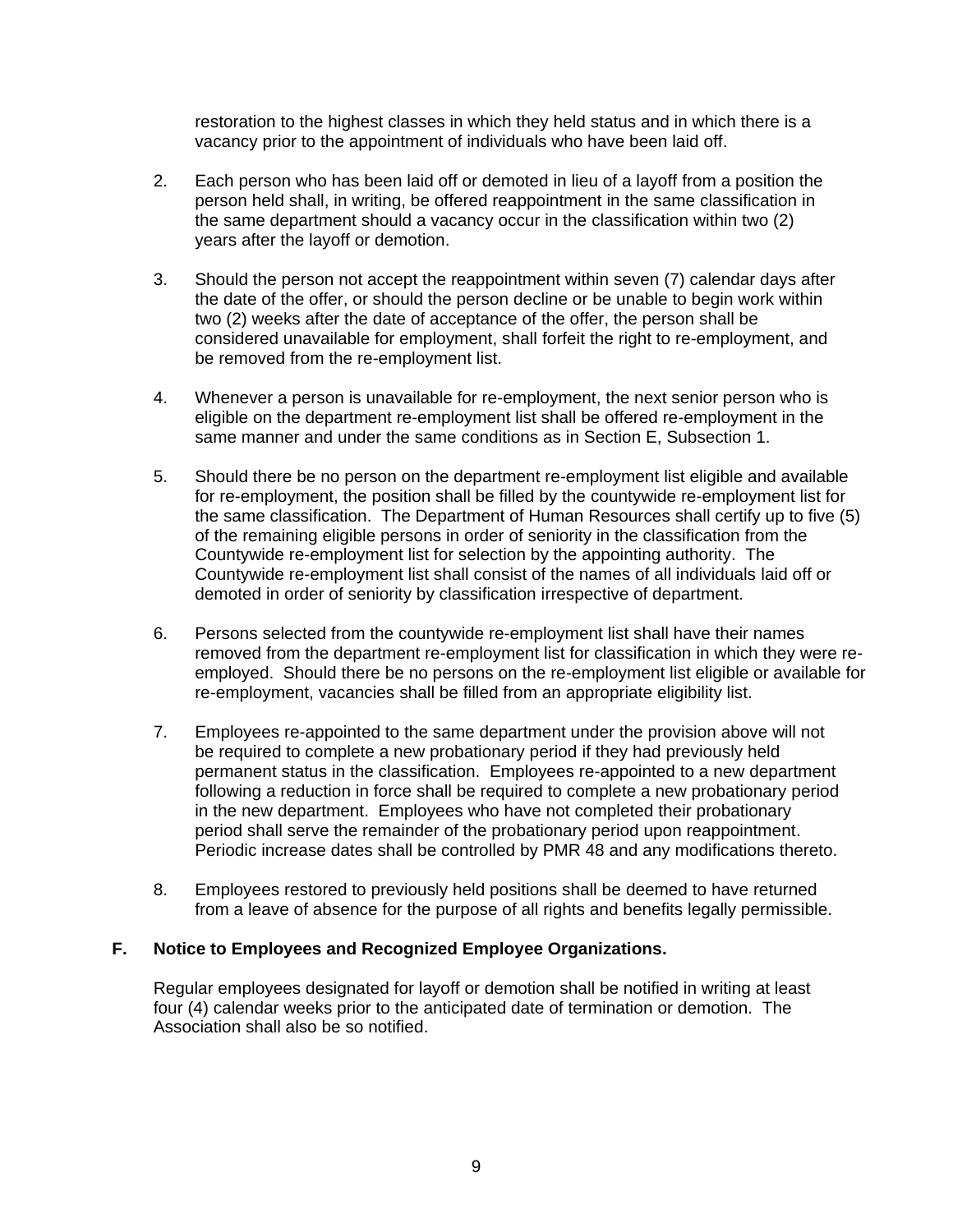restoration to the highest classes in which they held status and in which there is a vacancy prior to the appointment of individuals who have been laid off.

- 2. Each person who has been laid off or demoted in lieu of a layoff from a position the person held shall, in writing, be offered reappointment in the same classification in the same department should a vacancy occur in the classification within two (2) years after the layoff or demotion.
- 3. Should the person not accept the reappointment within seven (7) calendar days after the date of the offer, or should the person decline or be unable to begin work within two (2) weeks after the date of acceptance of the offer, the person shall be considered unavailable for employment, shall forfeit the right to re-employment, and be removed from the re-employment list.
- 4. Whenever a person is unavailable for re-employment, the next senior person who is eligible on the department re-employment list shall be offered re-employment in the same manner and under the same conditions as in Section E, Subsection 1.
- 5. Should there be no person on the department re-employment list eligible and available for re-employment, the position shall be filled by the countywide re-employment list for the same classification. The Department of Human Resources shall certify up to five (5) of the remaining eligible persons in order of seniority in the classification from the Countywide re-employment list for selection by the appointing authority. The Countywide re-employment list shall consist of the names of all individuals laid off or demoted in order of seniority by classification irrespective of department.
- 6. Persons selected from the countywide re-employment list shall have their names removed from the department re-employment list for classification in which they were reemployed. Should there be no persons on the re-employment list eligible or available for re-employment, vacancies shall be filled from an appropriate eligibility list.
- 7. Employees re-appointed to the same department under the provision above will not be required to complete a new probationary period if they had previously held permanent status in the classification. Employees re-appointed to a new department following a reduction in force shall be required to complete a new probationary period in the new department. Employees who have not completed their probationary period shall serve the remainder of the probationary period upon reappointment. Periodic increase dates shall be controlled by PMR 48 and any modifications thereto.
- 8. Employees restored to previously held positions shall be deemed to have returned from a leave of absence for the purpose of all rights and benefits legally permissible.

## <span id="page-9-0"></span>**F. Notice to Employees and Recognized Employee Organizations.**

Regular employees designated for layoff or demotion shall be notified in writing at least four (4) calendar weeks prior to the anticipated date of termination or demotion. The Association shall also be so notified.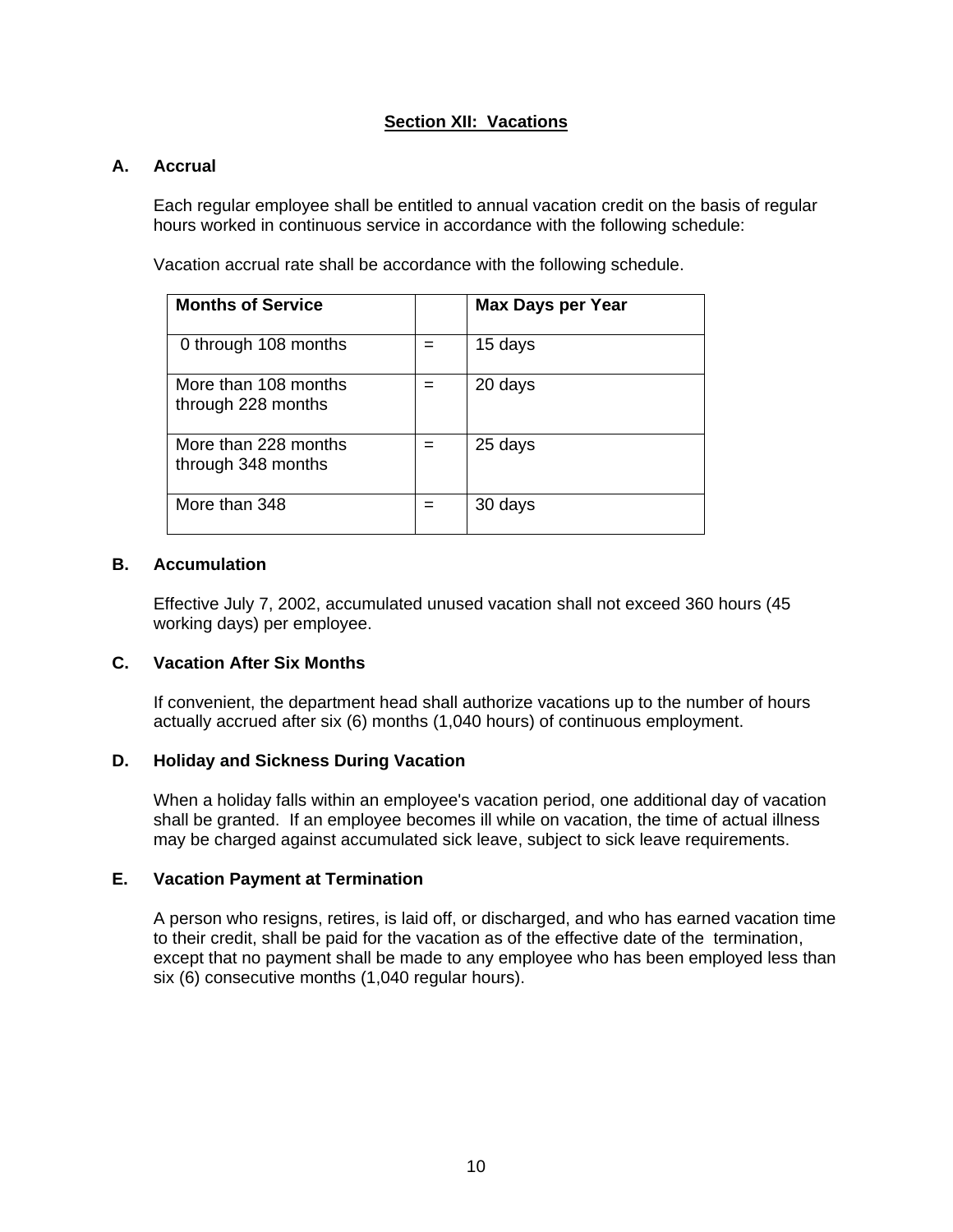## **Section XII: Vacations**

## <span id="page-10-1"></span><span id="page-10-0"></span>**A. Accrual**

Each regular employee shall be entitled to annual vacation credit on the basis of regular hours worked in continuous service in accordance with the following schedule:

Vacation accrual rate shall be accordance with the following schedule.

| <b>Months of Service</b>                   | <b>Max Days per Year</b> |
|--------------------------------------------|--------------------------|
| 0 through 108 months                       | 15 days                  |
| More than 108 months<br>through 228 months | 20 days                  |
| More than 228 months<br>through 348 months | 25 days                  |
| More than 348                              | 30 days                  |

#### <span id="page-10-2"></span>**B. Accumulation**

Effective July 7, 2002, accumulated unused vacation shall not exceed 360 hours (45 working days) per employee.

#### <span id="page-10-3"></span>**C. Vacation After Six Months**

If convenient, the department head shall authorize vacations up to the number of hours actually accrued after six (6) months (1,040 hours) of continuous employment.

#### <span id="page-10-4"></span>**D. Holiday and Sickness During Vacation**

When a holiday falls within an employee's vacation period, one additional day of vacation shall be granted. If an employee becomes ill while on vacation, the time of actual illness may be charged against accumulated sick leave, subject to sick leave requirements.

#### <span id="page-10-5"></span>**E. Vacation Payment at Termination**

A person who resigns, retires, is laid off, or discharged, and who has earned vacation time to their credit, shall be paid for the vacation as of the effective date of the termination, except that no payment shall be made to any employee who has been employed less than six (6) consecutive months (1,040 regular hours).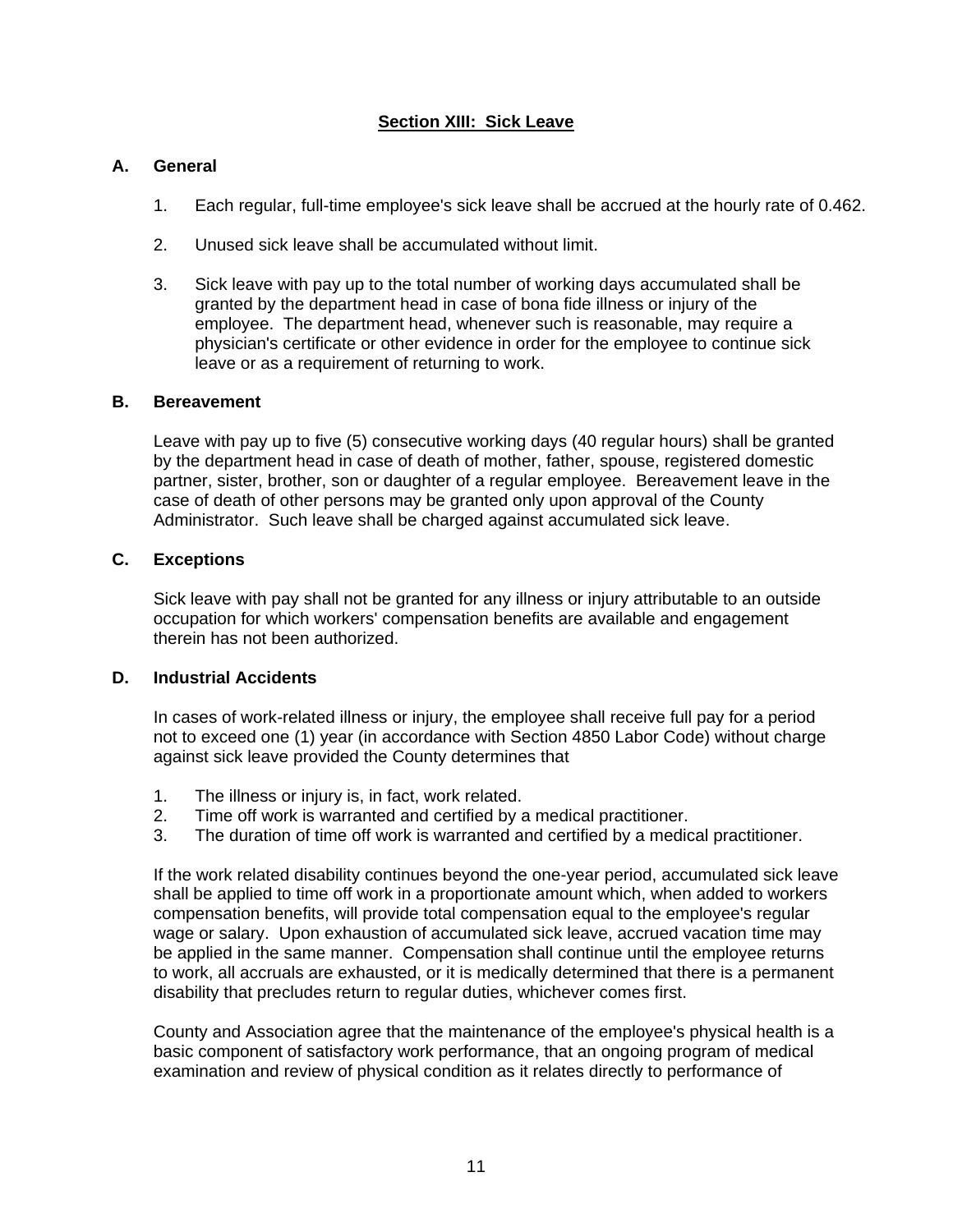# **Section XIII: Sick Leave**

# <span id="page-11-1"></span><span id="page-11-0"></span>**A. General**

- 1. Each regular, full-time employee's sick leave shall be accrued at the hourly rate of 0.462.
- 2. Unused sick leave shall be accumulated without limit.
- 3. Sick leave with pay up to the total number of working days accumulated shall be granted by the department head in case of bona fide illness or injury of the employee. The department head, whenever such is reasonable, may require a physician's certificate or other evidence in order for the employee to continue sick leave or as a requirement of returning to work.

#### <span id="page-11-2"></span>**B. Bereavement**

Leave with pay up to five (5) consecutive working days (40 regular hours) shall be granted by the department head in case of death of mother, father, spouse, registered domestic partner, sister, brother, son or daughter of a regular employee. Bereavement leave in the case of death of other persons may be granted only upon approval of the County Administrator. Such leave shall be charged against accumulated sick leave.

#### <span id="page-11-3"></span>**C. Exceptions**

Sick leave with pay shall not be granted for any illness or injury attributable to an outside occupation for which workers' compensation benefits are available and engagement therein has not been authorized.

#### <span id="page-11-4"></span>**D. Industrial Accidents**

In cases of work-related illness or injury, the employee shall receive full pay for a period not to exceed one (1) year (in accordance with Section 4850 Labor Code) without charge against sick leave provided the County determines that

- 1. The illness or injury is, in fact, work related.
- 2. Time off work is warranted and certified by a medical practitioner.
- 3. The duration of time off work is warranted and certified by a medical practitioner.

If the work related disability continues beyond the one-year period, accumulated sick leave shall be applied to time off work in a proportionate amount which, when added to workers compensation benefits, will provide total compensation equal to the employee's regular wage or salary. Upon exhaustion of accumulated sick leave, accrued vacation time may be applied in the same manner. Compensation shall continue until the employee returns to work, all accruals are exhausted, or it is medically determined that there is a permanent disability that precludes return to regular duties, whichever comes first.

County and Association agree that the maintenance of the employee's physical health is a basic component of satisfactory work performance, that an ongoing program of medical examination and review of physical condition as it relates directly to performance of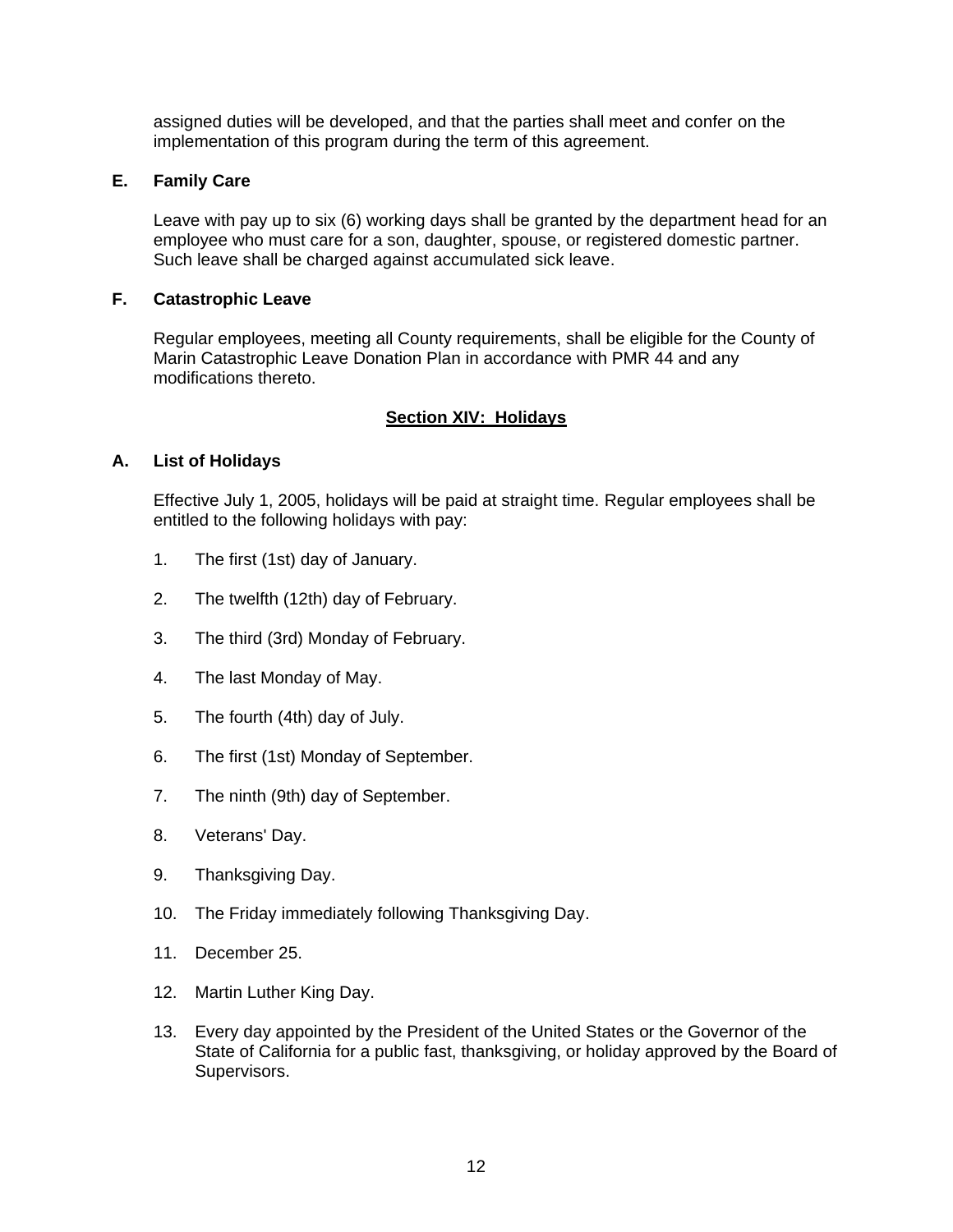assigned duties will be developed, and that the parties shall meet and confer on the implementation of this program during the term of this agreement.

## <span id="page-12-0"></span>**E. Family Care**

Leave with pay up to six (6) working days shall be granted by the department head for an employee who must care for a son, daughter, spouse, or registered domestic partner. Such leave shall be charged against accumulated sick leave.

## <span id="page-12-1"></span>**F. Catastrophic Leave**

Regular employees, meeting all County requirements, shall be eligible for the County of Marin Catastrophic Leave Donation Plan in accordance with PMR 44 and any modifications thereto.

## **Section XIV: Holidays**

## <span id="page-12-3"></span><span id="page-12-2"></span>**A. List of Holidays**

Effective July 1, 2005, holidays will be paid at straight time. Regular employees shall be entitled to the following holidays with pay:

- 1. The first (1st) day of January.
- 2. The twelfth (12th) day of February.
- 3. The third (3rd) Monday of February.
- 4. The last Monday of May.
- 5. The fourth (4th) day of July.
- 6. The first (1st) Monday of September.
- 7. The ninth (9th) day of September.
- 8. Veterans' Day.
- 9. Thanksgiving Day.
- 10. The Friday immediately following Thanksgiving Day.
- 11. December 25.
- 12. Martin Luther King Day.
- 13. Every day appointed by the President of the United States or the Governor of the State of California for a public fast, thanksgiving, or holiday approved by the Board of Supervisors.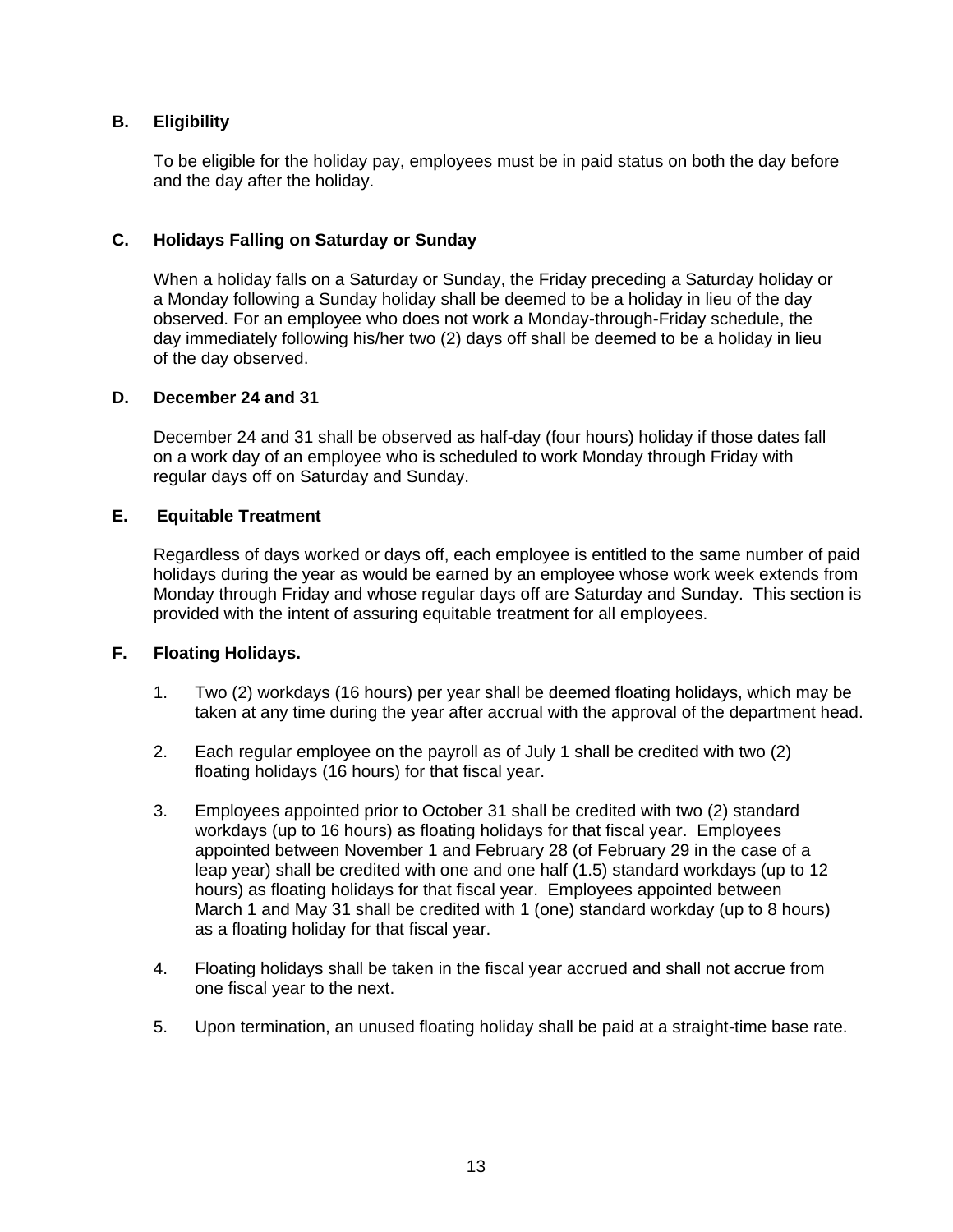# <span id="page-13-0"></span>**B. Eligibility**

To be eligible for the holiday pay, employees must be in paid status on both the day before and the day after the holiday.

## <span id="page-13-1"></span>**C. Holidays Falling on Saturday or Sunday**

When a holiday falls on a Saturday or Sunday, the Friday preceding a Saturday holiday or a Monday following a Sunday holiday shall be deemed to be a holiday in lieu of the day observed. For an employee who does not work a Monday-through-Friday schedule, the day immediately following his/her two (2) days off shall be deemed to be a holiday in lieu of the day observed.

#### <span id="page-13-2"></span>**D. December 24 and 31**

December 24 and 31 shall be observed as half-day (four hours) holiday if those dates fall on a work day of an employee who is scheduled to work Monday through Friday with regular days off on Saturday and Sunday.

## <span id="page-13-3"></span>**E. Equitable Treatment**

Regardless of days worked or days off, each employee is entitled to the same number of paid holidays during the year as would be earned by an employee whose work week extends from Monday through Friday and whose regular days off are Saturday and Sunday. This section is provided with the intent of assuring equitable treatment for all employees.

## <span id="page-13-4"></span>**F. Floating Holidays.**

- 1. Two (2) workdays (16 hours) per year shall be deemed floating holidays, which may be taken at any time during the year after accrual with the approval of the department head.
- 2. Each regular employee on the payroll as of July 1 shall be credited with two (2) floating holidays (16 hours) for that fiscal year.
- 3. Employees appointed prior to October 31 shall be credited with two (2) standard workdays (up to 16 hours) as floating holidays for that fiscal year. Employees appointed between November 1 and February 28 (of February 29 in the case of a leap year) shall be credited with one and one half (1.5) standard workdays (up to 12 hours) as floating holidays for that fiscal year. Employees appointed between March 1 and May 31 shall be credited with 1 (one) standard workday (up to 8 hours) as a floating holiday for that fiscal year.
- 4. Floating holidays shall be taken in the fiscal year accrued and shall not accrue from one fiscal year to the next.
- 5. Upon termination, an unused floating holiday shall be paid at a straight-time base rate.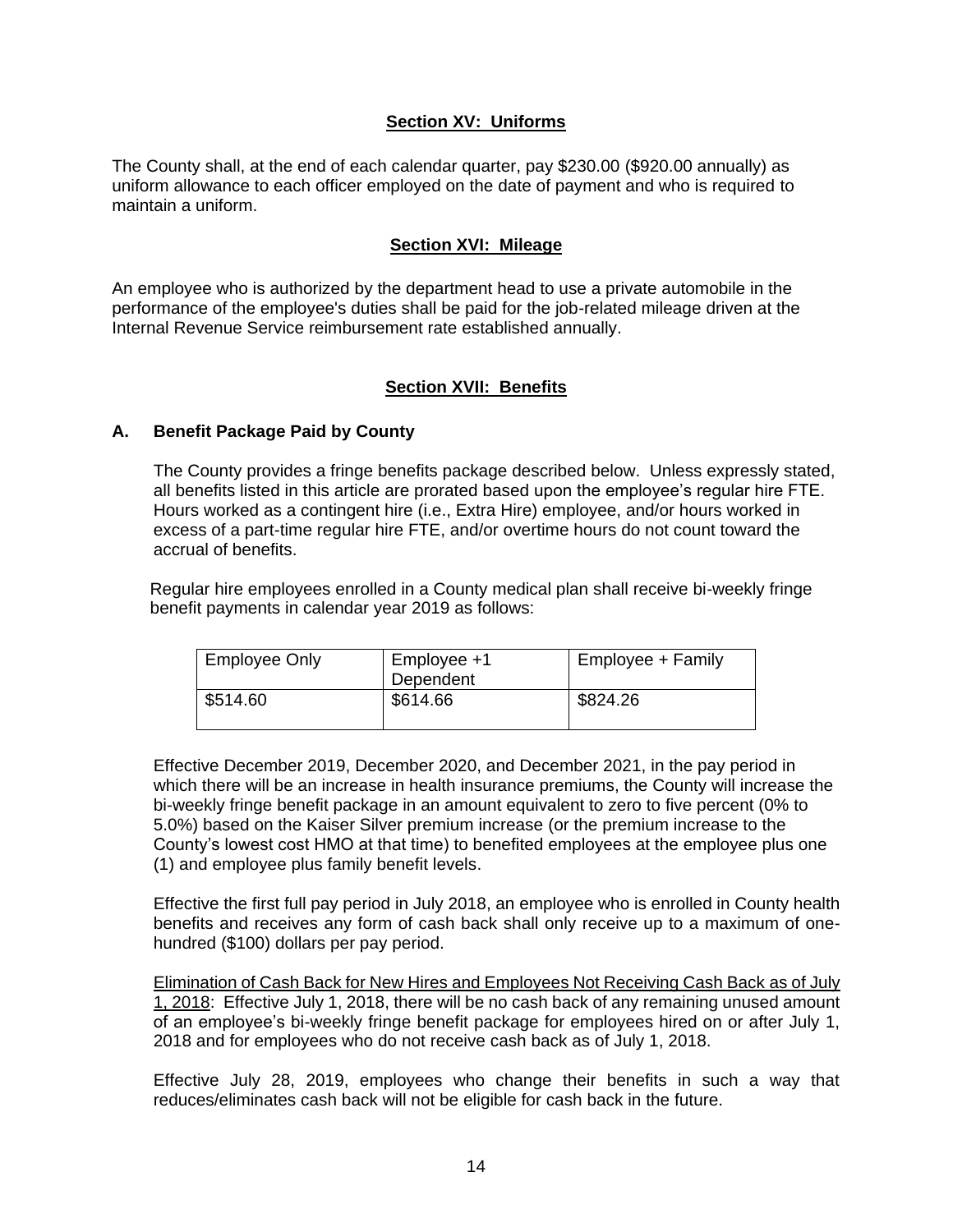## **Section XV: Uniforms**

<span id="page-14-0"></span>The County shall, at the end of each calendar quarter, pay \$230.00 (\$920.00 annually) as uniform allowance to each officer employed on the date of payment and who is required to maintain a uniform.

#### **Section XVI: Mileage**

<span id="page-14-1"></span>An employee who is authorized by the department head to use a private automobile in the performance of the employee's duties shall be paid for the job-related mileage driven at the Internal Revenue Service reimbursement rate established annually.

#### **Section XVII: Benefits**

#### <span id="page-14-3"></span><span id="page-14-2"></span>**A. Benefit Package Paid by County**

The County provides a fringe benefits package described below. Unless expressly stated, all benefits listed in this article are prorated based upon the employee's regular hire FTE. Hours worked as a contingent hire (i.e., Extra Hire) employee, and/or hours worked in excess of a part-time regular hire FTE, and/or overtime hours do not count toward the accrual of benefits.

 Regular hire employees enrolled in a County medical plan shall receive bi-weekly fringe benefit payments in calendar year 2019 as follows:

| <b>Employee Only</b> | Employee +1<br>Dependent | Employee + Family |
|----------------------|--------------------------|-------------------|
| \$514.60             | \$614.66                 | \$824.26          |

Effective December 2019, December 2020, and December 2021, in the pay period in which there will be an increase in health insurance premiums, the County will increase the bi-weekly fringe benefit package in an amount equivalent to zero to five percent (0% to 5.0%) based on the Kaiser Silver premium increase (or the premium increase to the County's lowest cost HMO at that time) to benefited employees at the employee plus one (1) and employee plus family benefit levels.

Effective the first full pay period in July 2018, an employee who is enrolled in County health benefits and receives any form of cash back shall only receive up to a maximum of onehundred (\$100) dollars per pay period.

Elimination of Cash Back for New Hires and Employees Not Receiving Cash Back as of July 1, 2018: Effective July 1, 2018, there will be no cash back of any remaining unused amount of an employee's bi-weekly fringe benefit package for employees hired on or after July 1, 2018 and for employees who do not receive cash back as of July 1, 2018.

Effective July 28, 2019, employees who change their benefits in such a way that reduces/eliminates cash back will not be eligible for cash back in the future.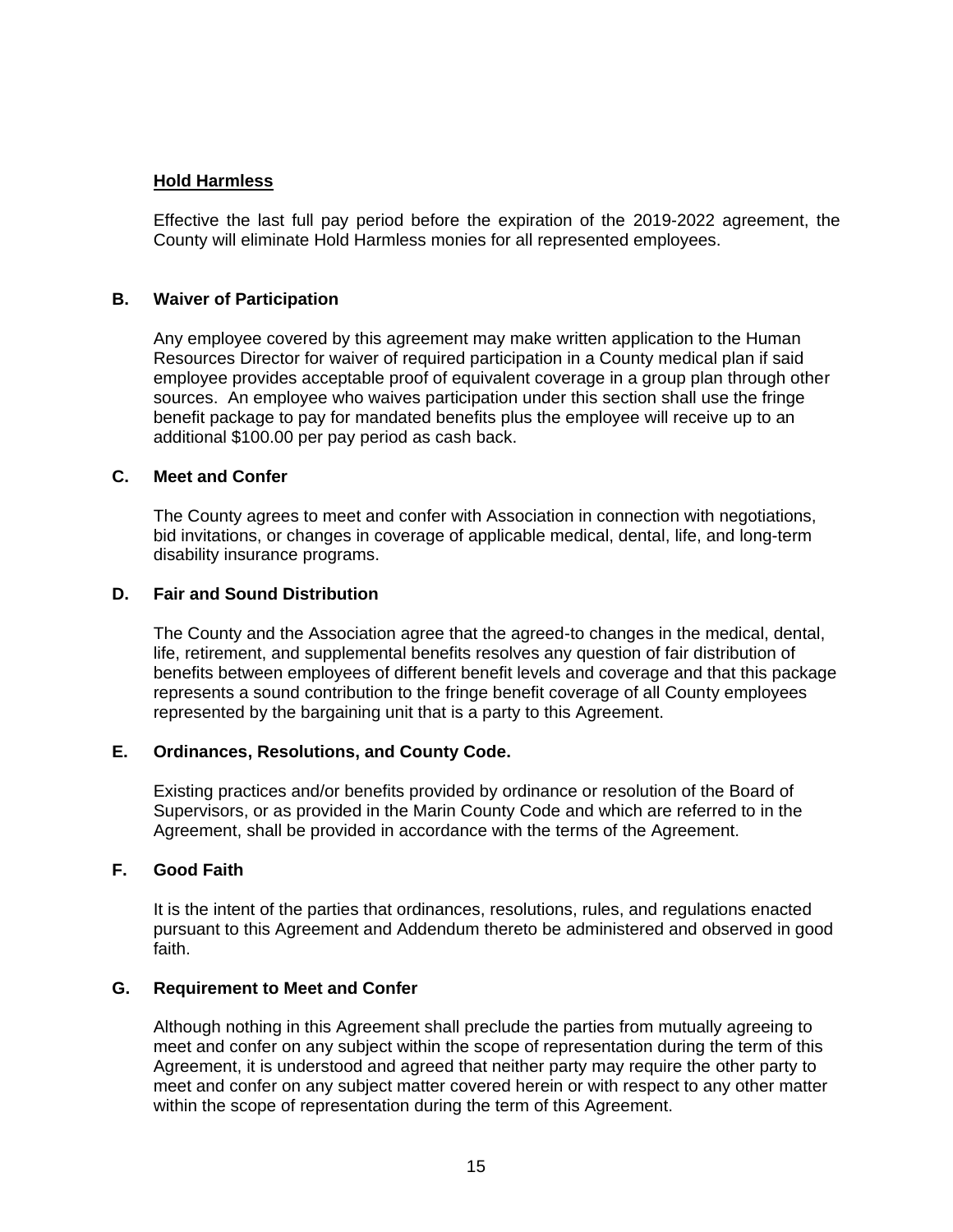## **Hold Harmless**

Effective the last full pay period before the expiration of the 2019-2022 agreement, the County will eliminate Hold Harmless monies for all represented employees.

#### <span id="page-15-0"></span>**B. Waiver of Participation**

Any employee covered by this agreement may make written application to the Human Resources Director for waiver of required participation in a County medical plan if said employee provides acceptable proof of equivalent coverage in a group plan through other sources. An employee who waives participation under this section shall use the fringe benefit package to pay for mandated benefits plus the employee will receive up to an additional \$100.00 per pay period as cash back.

#### <span id="page-15-1"></span>**C. Meet and Confer**

The County agrees to meet and confer with Association in connection with negotiations, bid invitations, or changes in coverage of applicable medical, dental, life, and long-term disability insurance programs.

#### <span id="page-15-2"></span>**D. Fair and Sound Distribution**

The County and the Association agree that the agreed-to changes in the medical, dental, life, retirement, and supplemental benefits resolves any question of fair distribution of benefits between employees of different benefit levels and coverage and that this package represents a sound contribution to the fringe benefit coverage of all County employees represented by the bargaining unit that is a party to this Agreement.

#### <span id="page-15-3"></span>**E. Ordinances, Resolutions, and County Code.**

Existing practices and/or benefits provided by ordinance or resolution of the Board of Supervisors, or as provided in the Marin County Code and which are referred to in the Agreement, shall be provided in accordance with the terms of the Agreement.

#### <span id="page-15-4"></span>**F. Good Faith**

It is the intent of the parties that ordinances, resolutions, rules, and regulations enacted pursuant to this Agreement and Addendum thereto be administered and observed in good faith.

#### <span id="page-15-5"></span>**G. Requirement to Meet and Confer**

Although nothing in this Agreement shall preclude the parties from mutually agreeing to meet and confer on any subject within the scope of representation during the term of this Agreement, it is understood and agreed that neither party may require the other party to meet and confer on any subject matter covered herein or with respect to any other matter within the scope of representation during the term of this Agreement.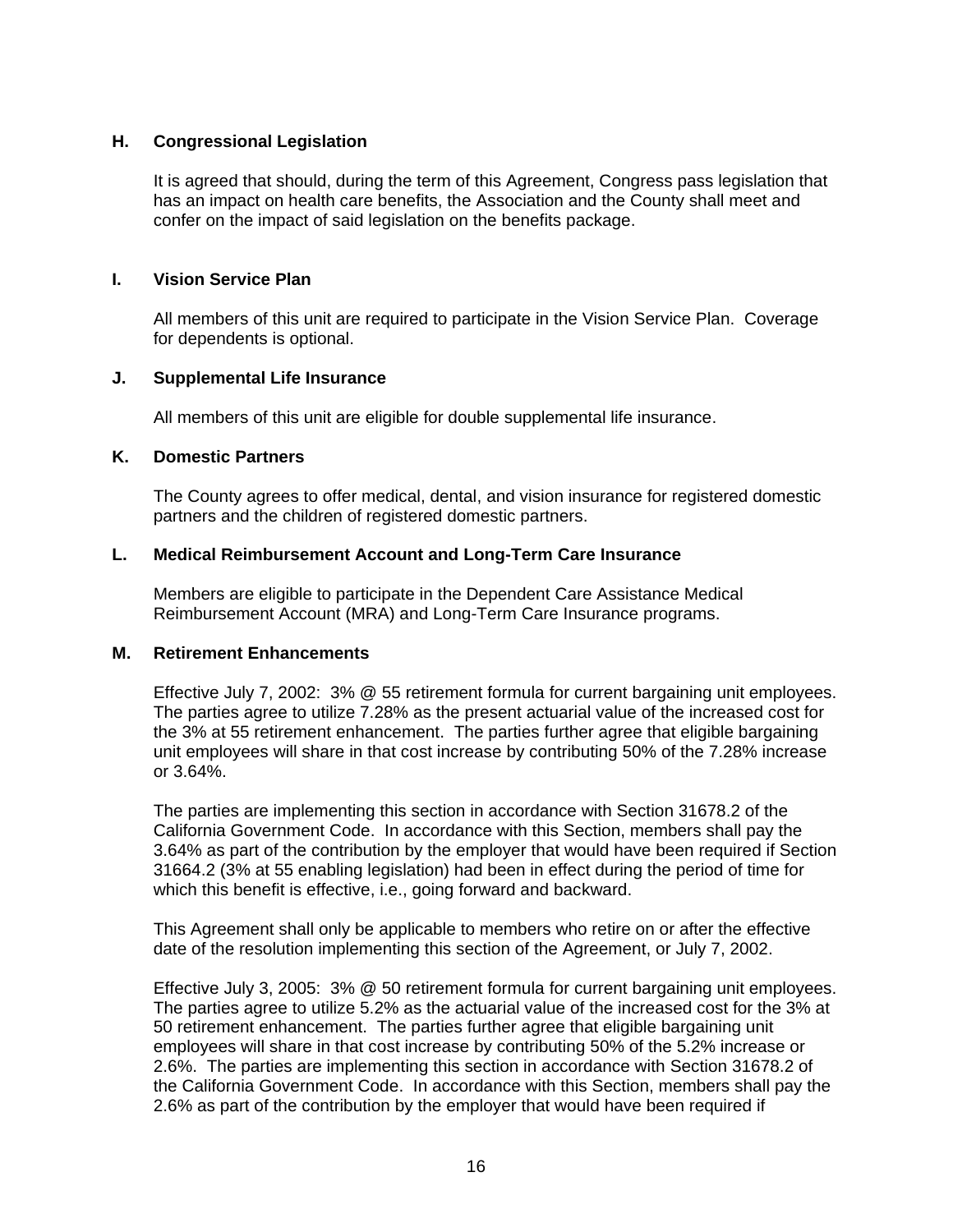## <span id="page-16-0"></span>**H. Congressional Legislation**

It is agreed that should, during the term of this Agreement, Congress pass legislation that has an impact on health care benefits, the Association and the County shall meet and confer on the impact of said legislation on the benefits package.

## <span id="page-16-1"></span>**I. Vision Service Plan**

All members of this unit are required to participate in the Vision Service Plan. Coverage for dependents is optional.

# <span id="page-16-2"></span>**J. Supplemental Life Insurance**

All members of this unit are eligible for double supplemental life insurance.

# <span id="page-16-3"></span>**K. Domestic Partners**

The County agrees to offer medical, dental, and vision insurance for registered domestic partners and the children of registered domestic partners.

# <span id="page-16-4"></span>**L. Medical Reimbursement Account and Long-Term Care Insurance**

Members are eligible to participate in the Dependent Care Assistance Medical Reimbursement Account (MRA) and Long-Term Care Insurance programs.

## <span id="page-16-5"></span>**M. Retirement Enhancements**

Effective July 7, 2002: 3% @ 55 retirement formula for current bargaining unit employees. The parties agree to utilize 7.28% as the present actuarial value of the increased cost for the 3% at 55 retirement enhancement. The parties further agree that eligible bargaining unit employees will share in that cost increase by contributing 50% of the 7.28% increase or 3.64%.

The parties are implementing this section in accordance with Section 31678.2 of the California Government Code. In accordance with this Section, members shall pay the 3.64% as part of the contribution by the employer that would have been required if Section 31664.2 (3% at 55 enabling legislation) had been in effect during the period of time for which this benefit is effective, i.e., going forward and backward.

This Agreement shall only be applicable to members who retire on or after the effective date of the resolution implementing this section of the Agreement, or July 7, 2002.

Effective July 3, 2005: 3% @ 50 retirement formula for current bargaining unit employees. The parties agree to utilize 5.2% as the actuarial value of the increased cost for the 3% at 50 retirement enhancement. The parties further agree that eligible bargaining unit employees will share in that cost increase by contributing 50% of the 5.2% increase or 2.6%. The parties are implementing this section in accordance with Section 31678.2 of the California Government Code. In accordance with this Section, members shall pay the 2.6% as part of the contribution by the employer that would have been required if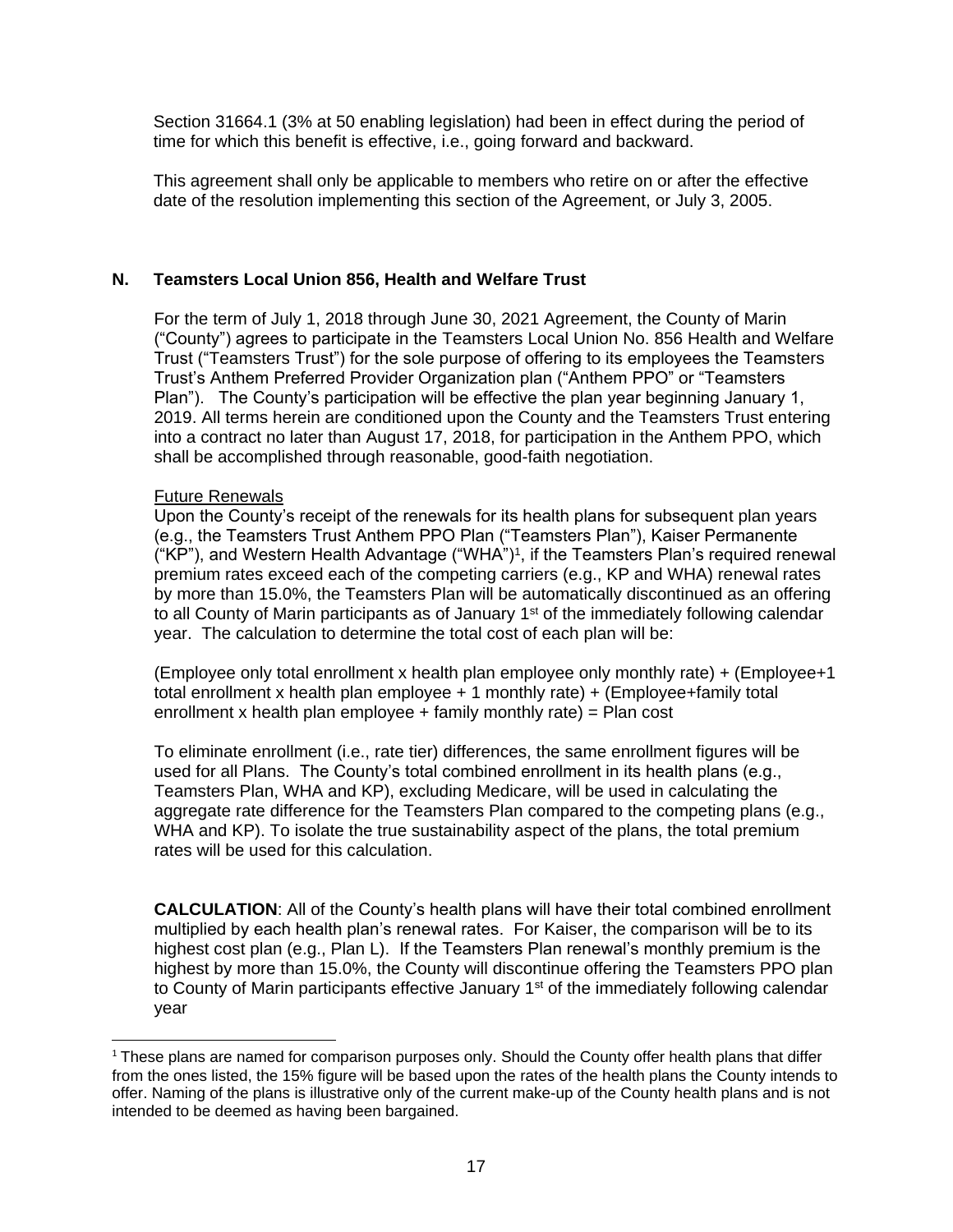Section 31664.1 (3% at 50 enabling legislation) had been in effect during the period of time for which this benefit is effective, i.e., going forward and backward.

This agreement shall only be applicable to members who retire on or after the effective date of the resolution implementing this section of the Agreement, or July 3, 2005.

## <span id="page-17-0"></span>**N. Teamsters Local Union 856, Health and Welfare Trust**

For the term of July 1, 2018 through June 30, 2021 Agreement, the County of Marin ("County") agrees to participate in the Teamsters Local Union No. 856 Health and Welfare Trust ("Teamsters Trust") for the sole purpose of offering to its employees the Teamsters Trust's Anthem Preferred Provider Organization plan ("Anthem PPO" or "Teamsters Plan"). The County's participation will be effective the plan year beginning January 1, 2019. All terms herein are conditioned upon the County and the Teamsters Trust entering into a contract no later than August 17, 2018, for participation in the Anthem PPO, which shall be accomplished through reasonable, good-faith negotiation.

#### Future Renewals

Upon the County's receipt of the renewals for its health plans for subsequent plan years (e.g., the Teamsters Trust Anthem PPO Plan ("Teamsters Plan"), Kaiser Permanente ("KP"), and Western Health Advantage ("WHA")<sup>1</sup>, if the Teamsters Plan's required renewal premium rates exceed each of the competing carriers (e.g., KP and WHA) renewal rates by more than 15.0%, the Teamsters Plan will be automatically discontinued as an offering to all County of Marin participants as of January 1<sup>st</sup> of the immediately following calendar year. The calculation to determine the total cost of each plan will be:

(Employee only total enrollment x health plan employee only monthly rate) + (Employee+1 total enrollment x health plan employee + 1 monthly rate) + (Employee+family total enrollment x health plan employee + family monthly rate) = Plan cost

To eliminate enrollment (i.e., rate tier) differences, the same enrollment figures will be used for all Plans. The County's total combined enrollment in its health plans (e.g., Teamsters Plan, WHA and KP), excluding Medicare, will be used in calculating the aggregate rate difference for the Teamsters Plan compared to the competing plans (e.g., WHA and KP). To isolate the true sustainability aspect of the plans, the total premium rates will be used for this calculation.

**CALCULATION**: All of the County's health plans will have their total combined enrollment multiplied by each health plan's renewal rates. For Kaiser, the comparison will be to its highest cost plan (e.g., Plan L). If the Teamsters Plan renewal's monthly premium is the highest by more than 15.0%, the County will discontinue offering the Teamsters PPO plan to County of Marin participants effective January 1<sup>st</sup> of the immediately following calendar year

 $1$  These plans are named for comparison purposes only. Should the County offer health plans that differ from the ones listed, the 15% figure will be based upon the rates of the health plans the County intends to offer. Naming of the plans is illustrative only of the current make-up of the County health plans and is not intended to be deemed as having been bargained.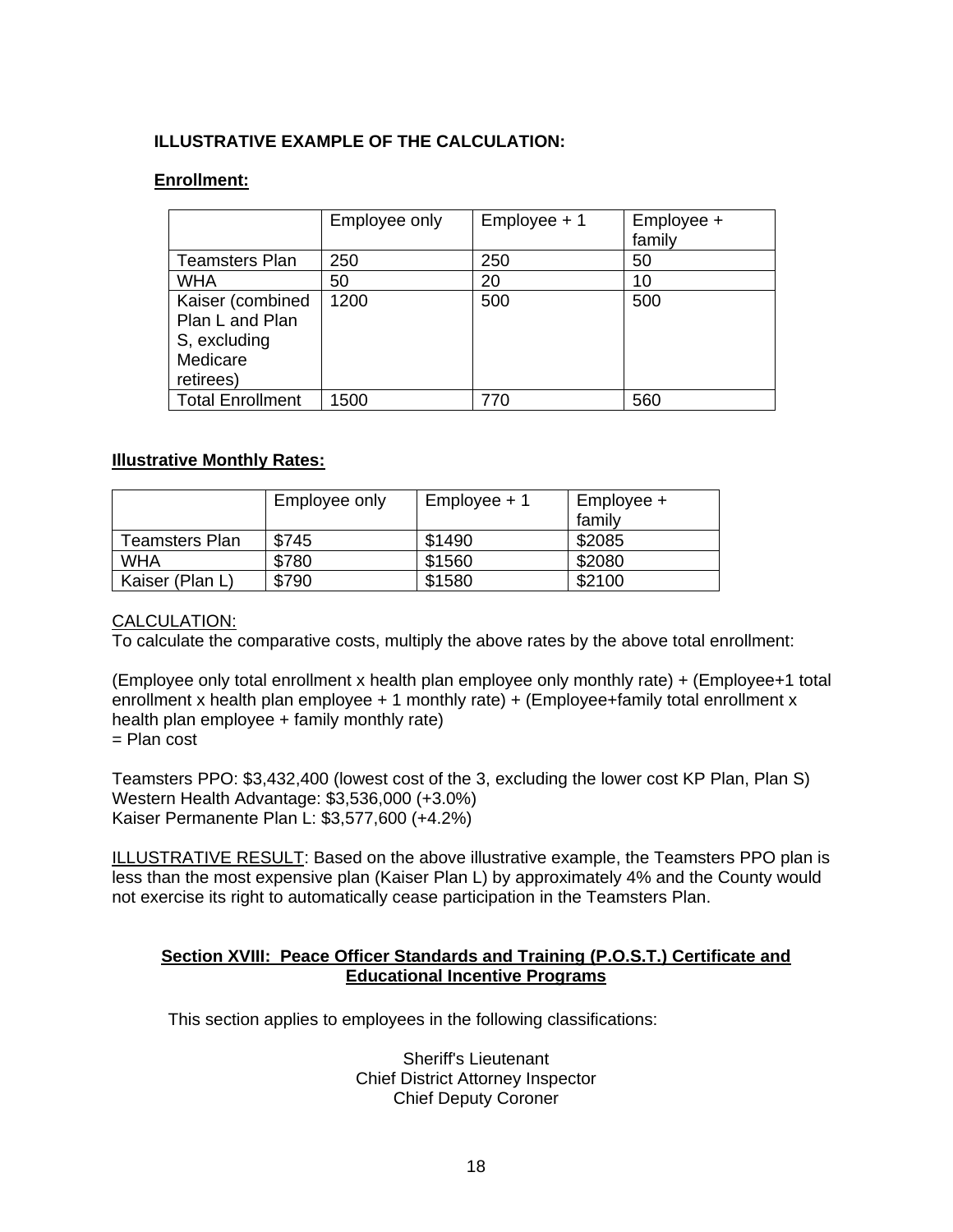# **ILLUSTRATIVE EXAMPLE OF THE CALCULATION:**

## **Enrollment:**

|                                                                              | Employee only | Employee + 1 | Employee +<br>family |
|------------------------------------------------------------------------------|---------------|--------------|----------------------|
| <b>Teamsters Plan</b>                                                        | 250           | 250          | 50                   |
| <b>WHA</b>                                                                   | 50            | 20           | 10                   |
| Kaiser (combined<br>Plan L and Plan<br>S, excluding<br>Medicare<br>retirees) | 1200          | 500          | 500                  |
| <b>Total Enrollment</b>                                                      | 1500          | 770          | 560                  |

## **Illustrative Monthly Rates:**

|                 | Employee only | $Employee + 1$ | Employee +<br>family |
|-----------------|---------------|----------------|----------------------|
| Teamsters Plan  | \$745         | \$1490         | \$2085               |
| <b>WHA</b>      | \$780         | \$1560         | \$2080               |
| Kaiser (Plan L) | \$790         | \$1580         | \$2100               |

## CALCULATION:

To calculate the comparative costs, multiply the above rates by the above total enrollment:

(Employee only total enrollment x health plan employee only monthly rate) + (Employee+1 total enrollment x health plan employee + 1 monthly rate) + (Employee+family total enrollment x health plan employee + family monthly rate)  $=$  Plan cost

Teamsters PPO: \$3,432,400 (lowest cost of the 3, excluding the lower cost KP Plan, Plan S) Western Health Advantage: \$3,536,000 (+3.0%) Kaiser Permanente Plan L: \$3,577,600 (+4.2%)

ILLUSTRATIVE RESULT: Based on the above illustrative example, the Teamsters PPO plan is less than the most expensive plan (Kaiser Plan L) by approximately 4% and the County would not exercise its right to automatically cease participation in the Teamsters Plan.

#### <span id="page-18-0"></span>**Section XVIII: Peace Officer Standards and Training (P.O.S.T.) Certificate and Educational Incentive Programs**

This section applies to employees in the following classifications:

Sheriff's Lieutenant Chief District Attorney Inspector Chief Deputy Coroner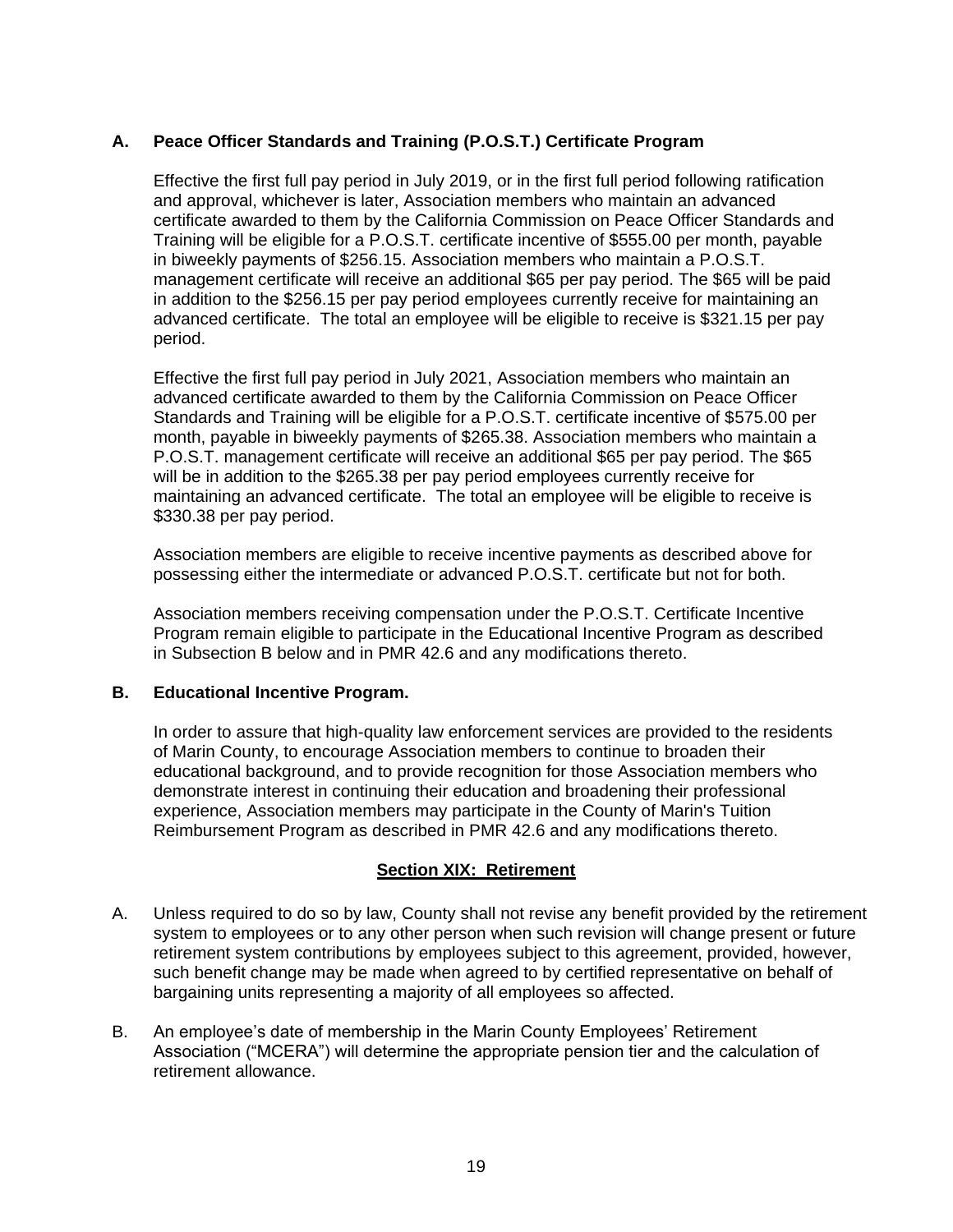# <span id="page-19-0"></span>**A. Peace Officer Standards and Training (P.O.S.T.) Certificate Program**

Effective the first full pay period in July 2019, or in the first full period following ratification and approval, whichever is later, Association members who maintain an advanced certificate awarded to them by the California Commission on Peace Officer Standards and Training will be eligible for a P.O.S.T. certificate incentive of \$555.00 per month, payable in biweekly payments of \$256.15. Association members who maintain a P.O.S.T. management certificate will receive an additional \$65 per pay period. The \$65 will be paid in addition to the \$256.15 per pay period employees currently receive for maintaining an advanced certificate. The total an employee will be eligible to receive is \$321.15 per pay period.

Effective the first full pay period in July 2021, Association members who maintain an advanced certificate awarded to them by the California Commission on Peace Officer Standards and Training will be eligible for a P.O.S.T. certificate incentive of \$575.00 per month, payable in biweekly payments of \$265.38. Association members who maintain a P.O.S.T. management certificate will receive an additional \$65 per pay period. The \$65 will be in addition to the \$265.38 per pay period employees currently receive for maintaining an advanced certificate. The total an employee will be eligible to receive is \$330.38 per pay period.

Association members are eligible to receive incentive payments as described above for possessing either the intermediate or advanced P.O.S.T. certificate but not for both.

Association members receiving compensation under the P.O.S.T. Certificate Incentive Program remain eligible to participate in the Educational Incentive Program as described in Subsection B below and in PMR 42.6 and any modifications thereto.

## <span id="page-19-1"></span>**B. Educational Incentive Program.**

In order to assure that high-quality law enforcement services are provided to the residents of Marin County, to encourage Association members to continue to broaden their educational background, and to provide recognition for those Association members who demonstrate interest in continuing their education and broadening their professional experience, Association members may participate in the County of Marin's Tuition Reimbursement Program as described in PMR 42.6 and any modifications thereto.

## **Section XIX: Retirement**

- <span id="page-19-2"></span>A. Unless required to do so by law, County shall not revise any benefit provided by the retirement system to employees or to any other person when such revision will change present or future retirement system contributions by employees subject to this agreement, provided, however, such benefit change may be made when agreed to by certified representative on behalf of bargaining units representing a majority of all employees so affected.
- B. An employee's date of membership in the Marin County Employees' Retirement Association ("MCERA") will determine the appropriate pension tier and the calculation of retirement allowance.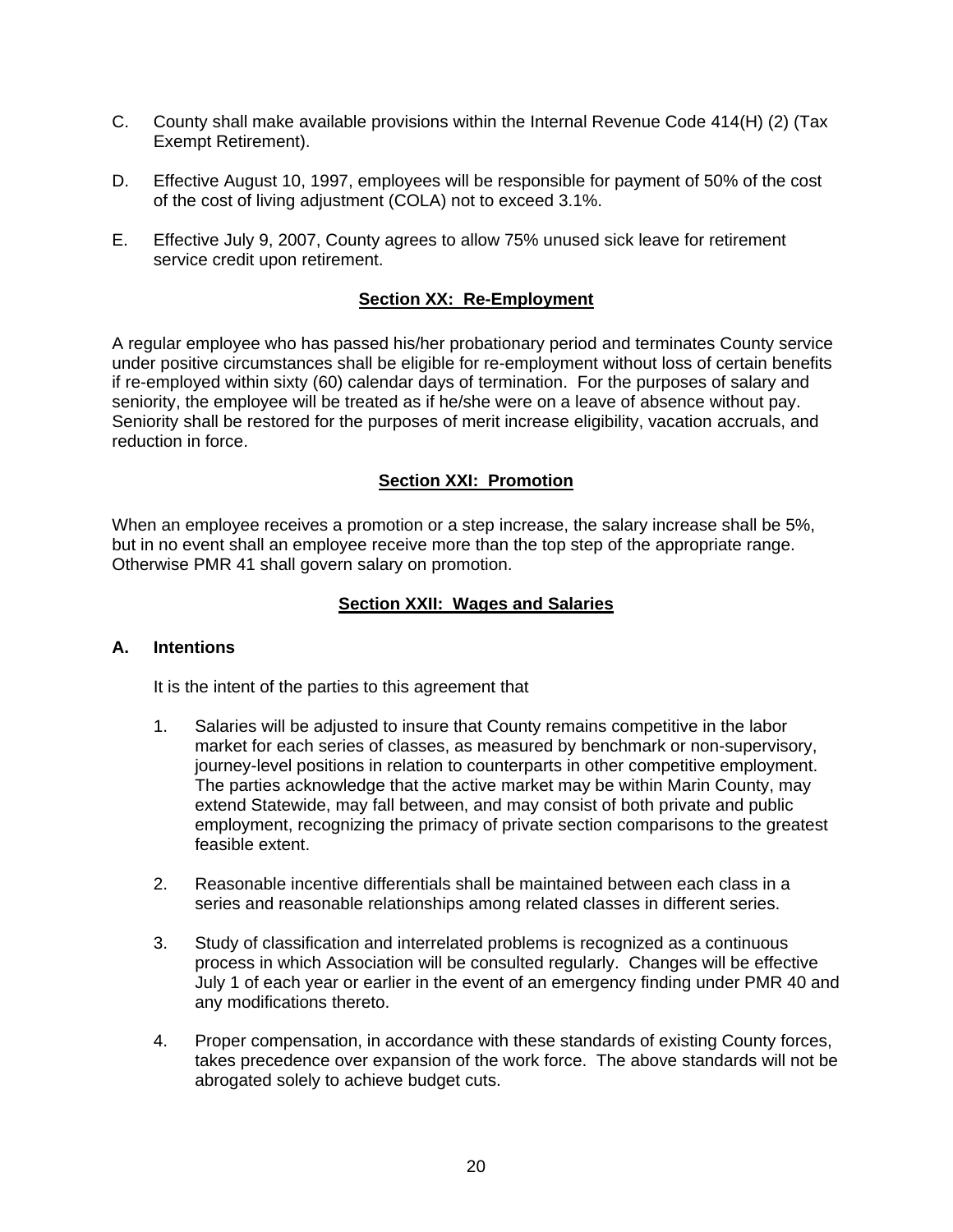- C. County shall make available provisions within the Internal Revenue Code 414(H) (2) (Tax Exempt Retirement).
- D. Effective August 10, 1997, employees will be responsible for payment of 50% of the cost of the cost of living adjustment (COLA) not to exceed 3.1%.
- E. Effective July 9, 2007, County agrees to allow 75% unused sick leave for retirement service credit upon retirement.

## **Section XX: Re-Employment**

<span id="page-20-0"></span>A regular employee who has passed his/her probationary period and terminates County service under positive circumstances shall be eligible for re-employment without loss of certain benefits if re-employed within sixty (60) calendar days of termination. For the purposes of salary and seniority, the employee will be treated as if he/she were on a leave of absence without pay. Seniority shall be restored for the purposes of merit increase eligibility, vacation accruals, and reduction in force.

## **Section XXI: Promotion**

<span id="page-20-1"></span>When an employee receives a promotion or a step increase, the salary increase shall be 5%, but in no event shall an employee receive more than the top step of the appropriate range. Otherwise PMR 41 shall govern salary on promotion.

#### **Section XXII: Wages and Salaries**

#### <span id="page-20-3"></span><span id="page-20-2"></span>**A. Intentions**

It is the intent of the parties to this agreement that

- 1. Salaries will be adjusted to insure that County remains competitive in the labor market for each series of classes, as measured by benchmark or non-supervisory, journey-level positions in relation to counterparts in other competitive employment. The parties acknowledge that the active market may be within Marin County, may extend Statewide, may fall between, and may consist of both private and public employment, recognizing the primacy of private section comparisons to the greatest feasible extent.
- 2. Reasonable incentive differentials shall be maintained between each class in a series and reasonable relationships among related classes in different series.
- 3. Study of classification and interrelated problems is recognized as a continuous process in which Association will be consulted regularly. Changes will be effective July 1 of each year or earlier in the event of an emergency finding under PMR 40 and any modifications thereto.
- 4. Proper compensation, in accordance with these standards of existing County forces, takes precedence over expansion of the work force. The above standards will not be abrogated solely to achieve budget cuts.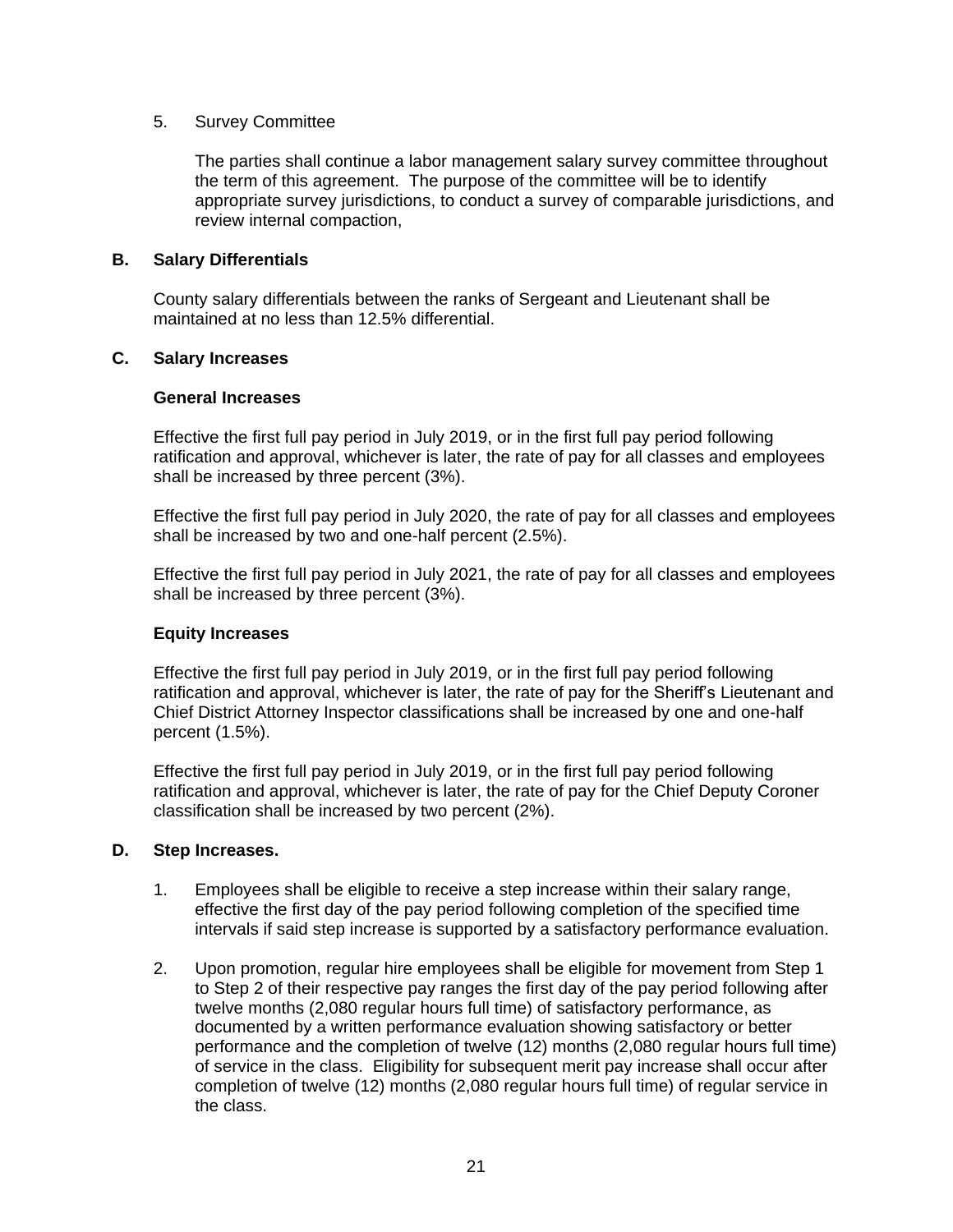#### 5. Survey Committee

The parties shall continue a labor management salary survey committee throughout the term of this agreement. The purpose of the committee will be to identify appropriate survey jurisdictions, to conduct a survey of comparable jurisdictions, and review internal compaction,

## <span id="page-21-0"></span>**B. Salary Differentials**

County salary differentials between the ranks of Sergeant and Lieutenant shall be maintained at no less than 12.5% differential.

#### <span id="page-21-1"></span>**C. Salary Increases**

#### **General Increases**

Effective the first full pay period in July 2019, or in the first full pay period following ratification and approval, whichever is later, the rate of pay for all classes and employees shall be increased by three percent (3%).

Effective the first full pay period in July 2020, the rate of pay for all classes and employees shall be increased by two and one-half percent (2.5%).

Effective the first full pay period in July 2021, the rate of pay for all classes and employees shall be increased by three percent (3%).

## **Equity Increases**

Effective the first full pay period in July 2019, or in the first full pay period following ratification and approval, whichever is later, the rate of pay for the Sheriff's Lieutenant and Chief District Attorney Inspector classifications shall be increased by one and one-half percent (1.5%).

Effective the first full pay period in July 2019, or in the first full pay period following ratification and approval, whichever is later, the rate of pay for the Chief Deputy Coroner classification shall be increased by two percent (2%).

## <span id="page-21-2"></span>**D. Step Increases.**

- 1. Employees shall be eligible to receive a step increase within their salary range, effective the first day of the pay period following completion of the specified time intervals if said step increase is supported by a satisfactory performance evaluation.
- 2. Upon promotion, regular hire employees shall be eligible for movement from Step 1 to Step 2 of their respective pay ranges the first day of the pay period following after twelve months (2,080 regular hours full time) of satisfactory performance, as documented by a written performance evaluation showing satisfactory or better performance and the completion of twelve (12) months (2,080 regular hours full time) of service in the class. Eligibility for subsequent merit pay increase shall occur after completion of twelve (12) months (2,080 regular hours full time) of regular service in the class.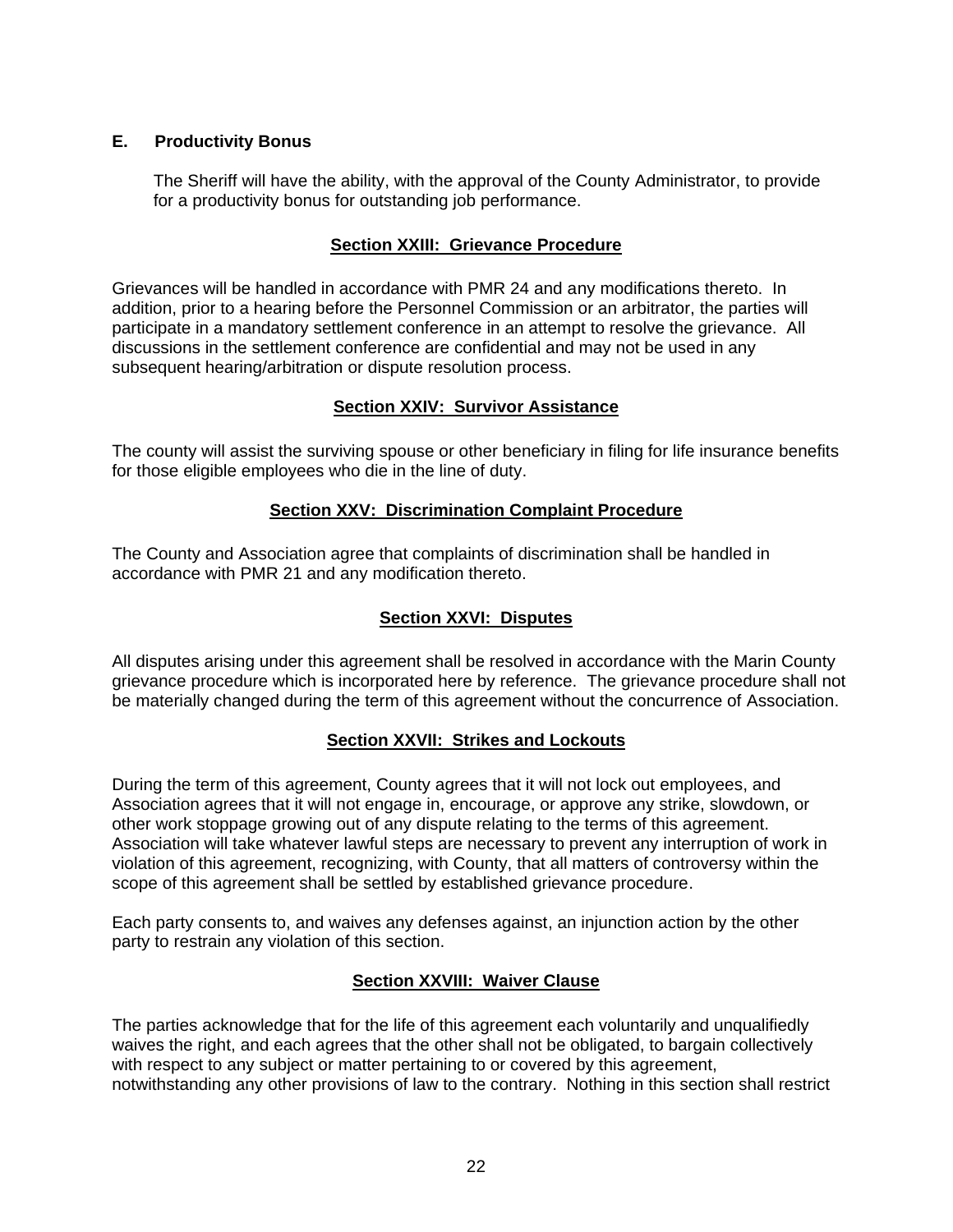# **E. Productivity Bonus**

The Sheriff will have the ability, with the approval of the County Administrator, to provide for a productivity bonus for outstanding job performance.

# **Section XXIII: Grievance Procedure**

<span id="page-22-0"></span>Grievances will be handled in accordance with PMR 24 and any modifications thereto. In addition, prior to a hearing before the Personnel Commission or an arbitrator, the parties will participate in a mandatory settlement conference in an attempt to resolve the grievance. All discussions in the settlement conference are confidential and may not be used in any subsequent hearing/arbitration or dispute resolution process.

## **Section XXIV: Survivor Assistance**

<span id="page-22-1"></span>The county will assist the surviving spouse or other beneficiary in filing for life insurance benefits for those eligible employees who die in the line of duty.

## **Section XXV: Discrimination Complaint Procedure**

<span id="page-22-2"></span>The County and Association agree that complaints of discrimination shall be handled in accordance with PMR 21 and any modification thereto.

## **Section XXVI: Disputes**

<span id="page-22-3"></span>All disputes arising under this agreement shall be resolved in accordance with the Marin County grievance procedure which is incorporated here by reference. The grievance procedure shall not be materially changed during the term of this agreement without the concurrence of Association.

## **Section XXVII: Strikes and Lockouts**

<span id="page-22-4"></span>During the term of this agreement, County agrees that it will not lock out employees, and Association agrees that it will not engage in, encourage, or approve any strike, slowdown, or other work stoppage growing out of any dispute relating to the terms of this agreement. Association will take whatever lawful steps are necessary to prevent any interruption of work in violation of this agreement, recognizing, with County, that all matters of controversy within the scope of this agreement shall be settled by established grievance procedure.

Each party consents to, and waives any defenses against, an injunction action by the other party to restrain any violation of this section.

## **Section XXVIII: Waiver Clause**

<span id="page-22-5"></span>The parties acknowledge that for the life of this agreement each voluntarily and unqualifiedly waives the right, and each agrees that the other shall not be obligated, to bargain collectively with respect to any subject or matter pertaining to or covered by this agreement, notwithstanding any other provisions of law to the contrary. Nothing in this section shall restrict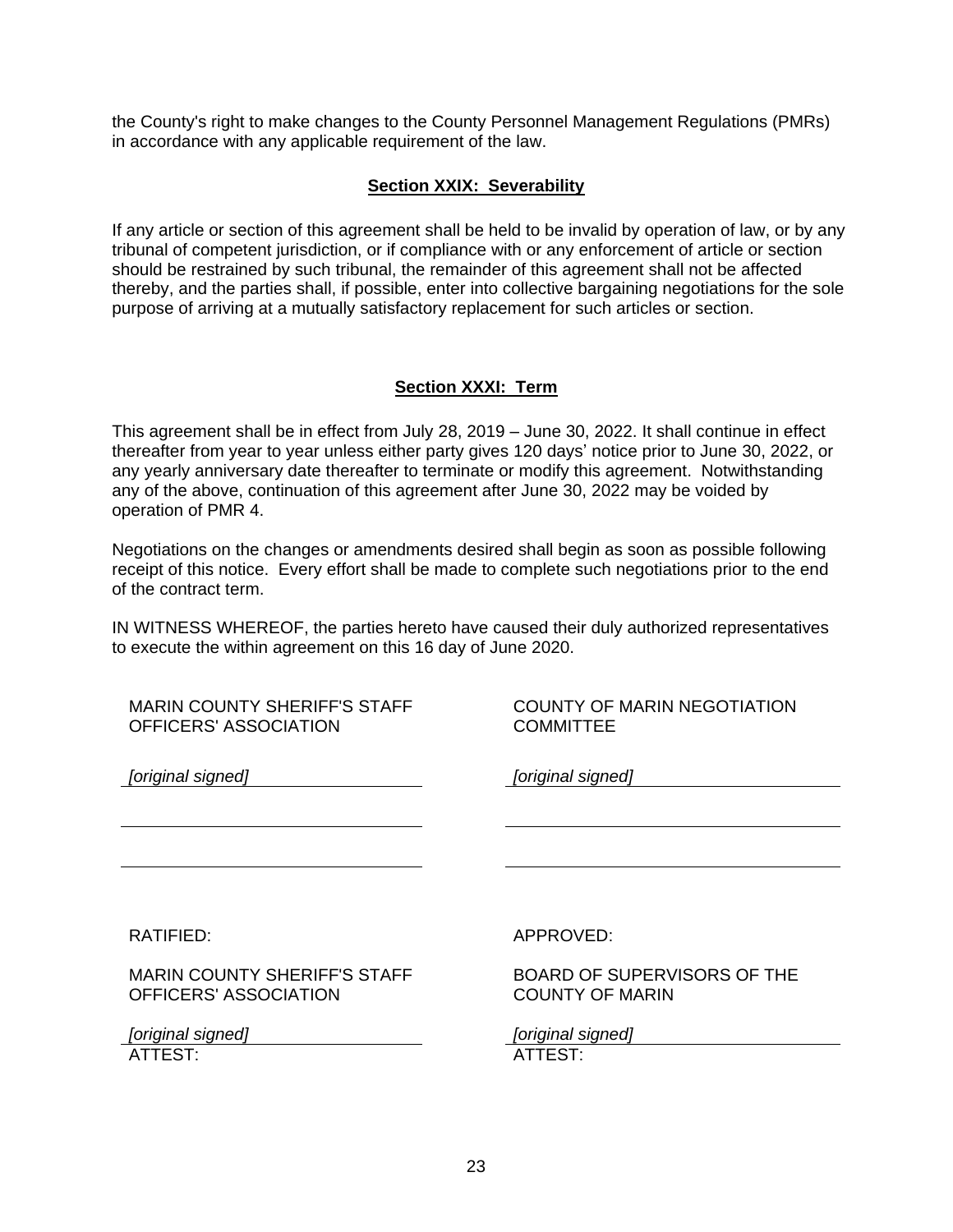the County's right to make changes to the County Personnel Management Regulations (PMRs) in accordance with any applicable requirement of the law.

# **Section XXIX: Severability**

<span id="page-23-0"></span>If any article or section of this agreement shall be held to be invalid by operation of law, or by any tribunal of competent jurisdiction, or if compliance with or any enforcement of article or section should be restrained by such tribunal, the remainder of this agreement shall not be affected thereby, and the parties shall, if possible, enter into collective bargaining negotiations for the sole purpose of arriving at a mutually satisfactory replacement for such articles or section.

# **Section XXXI: Term**

<span id="page-23-1"></span>This agreement shall be in effect from July 28, 2019 – June 30, 2022. It shall continue in effect thereafter from year to year unless either party gives 120 days' notice prior to June 30, 2022, or any yearly anniversary date thereafter to terminate or modify this agreement. Notwithstanding any of the above, continuation of this agreement after June 30, 2022 may be voided by operation of PMR 4.

Negotiations on the changes or amendments desired shall begin as soon as possible following receipt of this notice. Every effort shall be made to complete such negotiations prior to the end of the contract term.

IN WITNESS WHEREOF, the parties hereto have caused their duly authorized representatives to execute the within agreement on this 16 day of June 2020.

| <b>MARIN COUNTY SHERIFF'S STAFF</b> | <b>COUNTY OF MARIN NEGOTIATION</b> |
|-------------------------------------|------------------------------------|
| OFFICERS' ASSOCIATION               | <b>COMMITTEE</b>                   |
| [original signed]                   | [original signed]                  |
|                                     |                                    |
| RATIFIED:                           | APPROVED:                          |
| <b>MARIN COUNTY SHERIFF'S STAFF</b> | <b>BOARD OF SUPERVISORS OF THE</b> |
| OFFICERS' ASSOCIATION               | <b>COUNTY OF MARIN</b>             |
| [original signed]                   | [original signed]                  |
| ATTEST:                             | ATTEST:                            |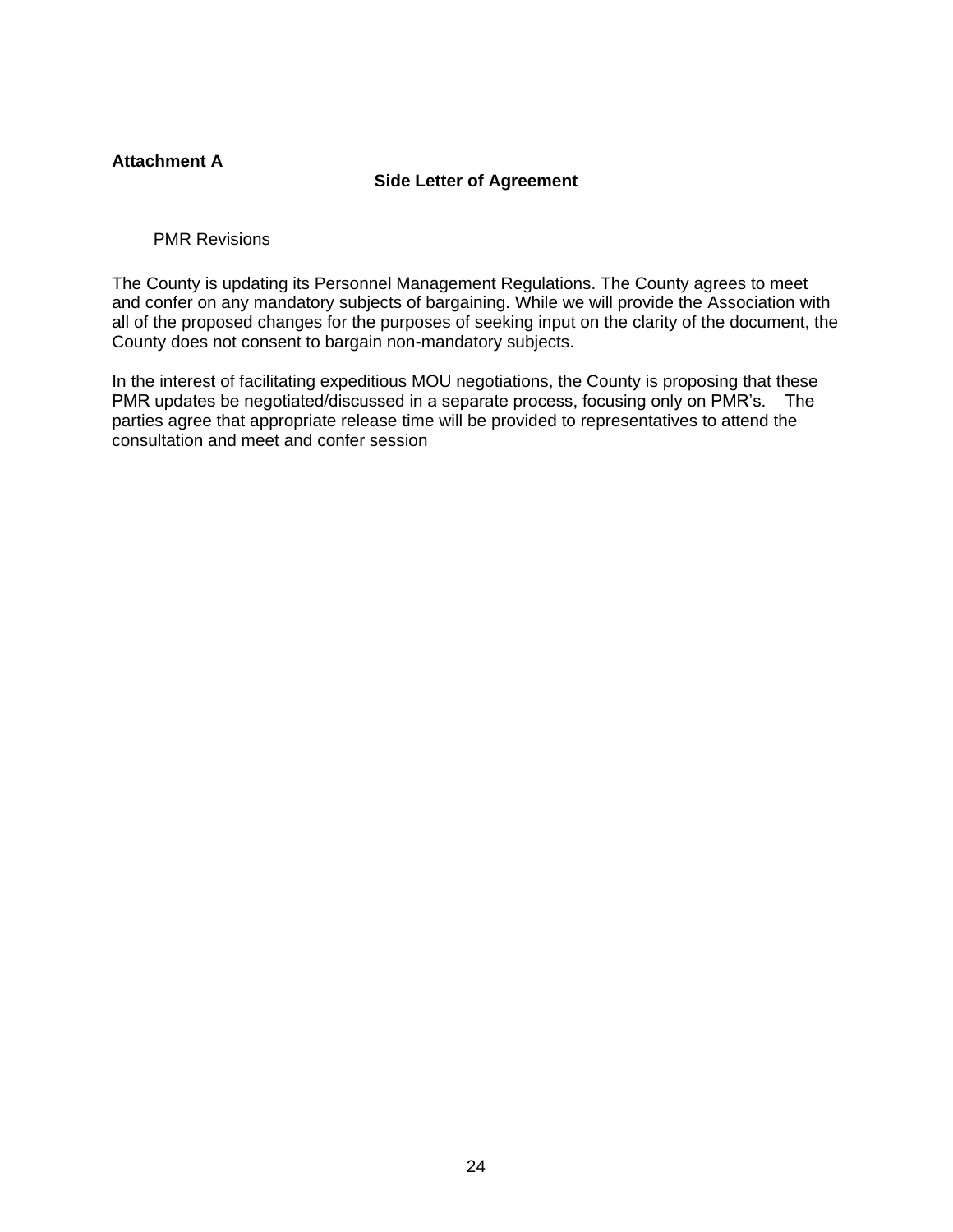#### <span id="page-24-0"></span>**Attachment A**

## **Side Letter of Agreement**

<span id="page-24-1"></span>PMR Revisions

The County is updating its Personnel Management Regulations. The County agrees to meet and confer on any mandatory subjects of bargaining. While we will provide the Association with all of the proposed changes for the purposes of seeking input on the clarity of the document, the County does not consent to bargain non-mandatory subjects.

In the interest of facilitating expeditious MOU negotiations, the County is proposing that these PMR updates be negotiated/discussed in a separate process, focusing only on PMR's. The parties agree that appropriate release time will be provided to representatives to attend the consultation and meet and confer session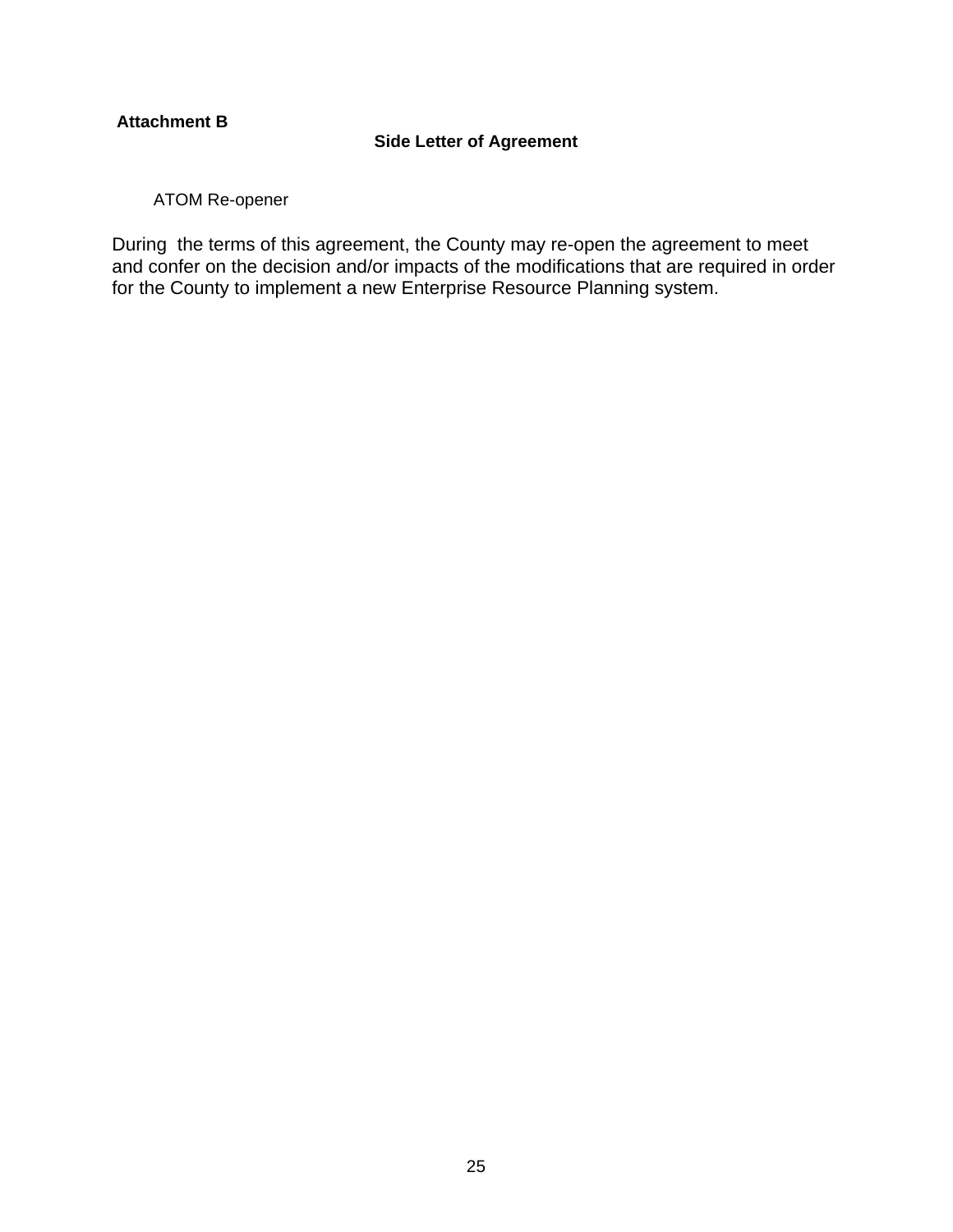# <span id="page-25-0"></span>**Attachment B**

# **Side Letter of Agreement**

<span id="page-25-1"></span>ATOM Re-opener

During the terms of this agreement, the County may re-open the agreement to meet and confer on the decision and/or impacts of the modifications that are required in order for the County to implement a new Enterprise Resource Planning system.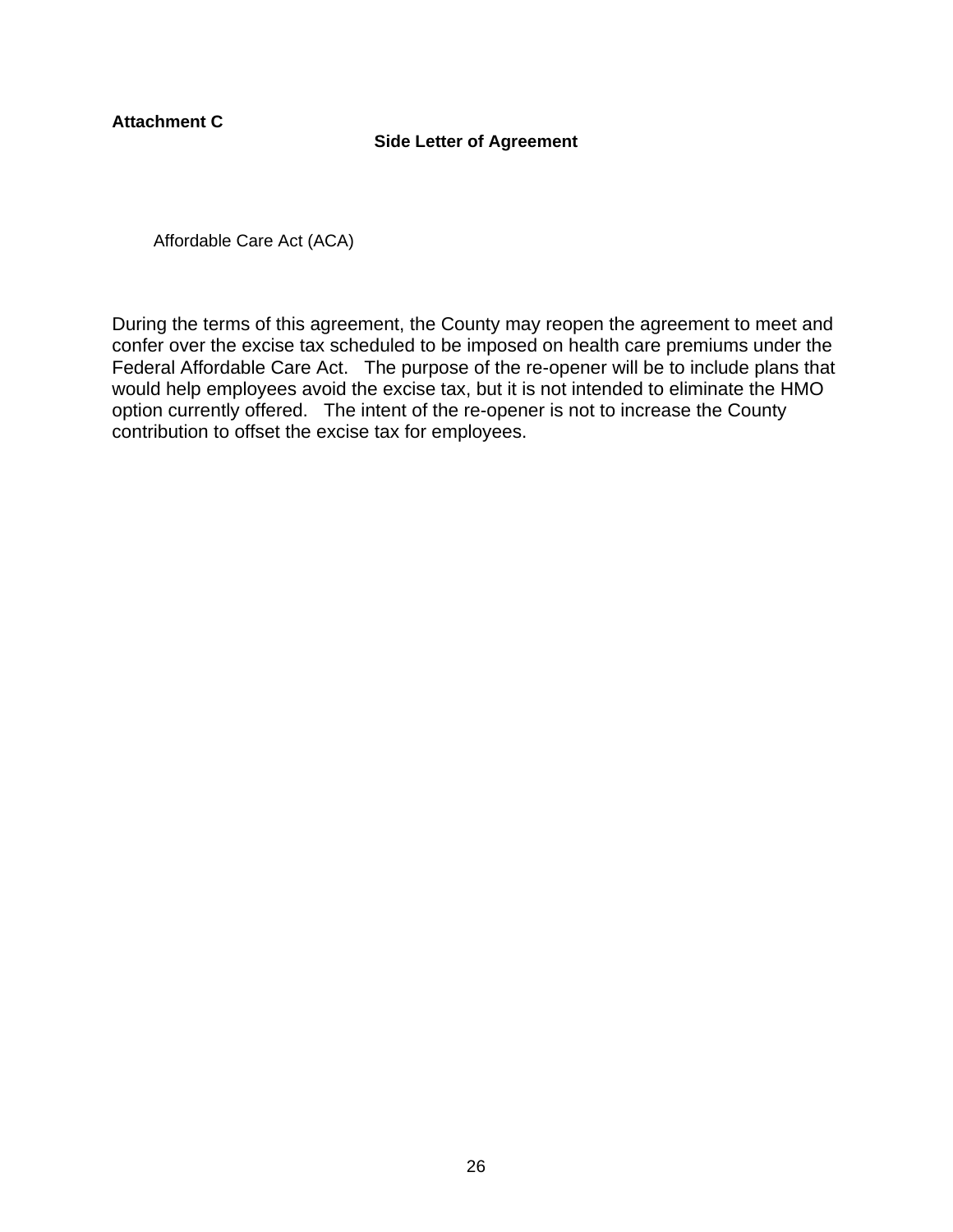<span id="page-26-0"></span>**Attachment C**

# **Side Letter of Agreement**

<span id="page-26-1"></span>Affordable Care Act (ACA)

During the terms of this agreement, the County may reopen the agreement to meet and confer over the excise tax scheduled to be imposed on health care premiums under the Federal Affordable Care Act. The purpose of the re-opener will be to include plans that would help employees avoid the excise tax, but it is not intended to eliminate the HMO option currently offered. The intent of the re-opener is not to increase the County contribution to offset the excise tax for employees.